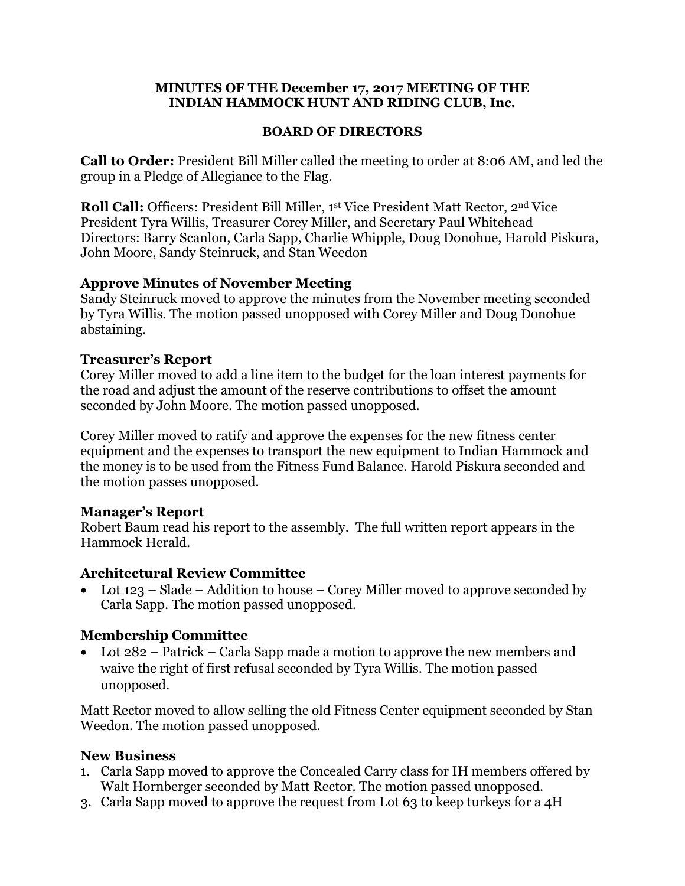#### **MINUTES OF THE December 17, 2017 MEETING OF THE INDIAN HAMMOCK HUNT AND RIDING CLUB, Inc.**

#### **BOARD OF DIRECTORS**

**Call to Order:** President Bill Miller called the meeting to order at 8:06 AM, and led the group in a Pledge of Allegiance to the Flag.

**Roll Call:** Officers: President Bill Miller, 1st Vice President Matt Rector, 2<sup>nd</sup> Vice President Tyra Willis, Treasurer Corey Miller, and Secretary Paul Whitehead Directors: Barry Scanlon, Carla Sapp, Charlie Whipple, Doug Donohue, Harold Piskura, John Moore, Sandy Steinruck, and Stan Weedon

### **Approve Minutes of November Meeting**

Sandy Steinruck moved to approve the minutes from the November meeting seconded by Tyra Willis. The motion passed unopposed with Corey Miller and Doug Donohue abstaining.

### **Treasurer's Report**

Corey Miller moved to add a line item to the budget for the loan interest payments for the road and adjust the amount of the reserve contributions to offset the amount seconded by John Moore. The motion passed unopposed.

Corey Miller moved to ratify and approve the expenses for the new fitness center equipment and the expenses to transport the new equipment to Indian Hammock and the money is to be used from the Fitness Fund Balance. Harold Piskura seconded and the motion passes unopposed.

### **Manager's Report**

Robert Baum read his report to the assembly. The full written report appears in the Hammock Herald.

#### **Architectural Review Committee**

• Lot 123 – Slade – Addition to house – Corey Miller moved to approve seconded by Carla Sapp. The motion passed unopposed.

### **Membership Committee**

• Lot 282 – Patrick – Carla Sapp made a motion to approve the new members and waive the right of first refusal seconded by Tyra Willis. The motion passed unopposed.

Matt Rector moved to allow selling the old Fitness Center equipment seconded by Stan Weedon. The motion passed unopposed.

### **New Business**

- 1. Carla Sapp moved to approve the Concealed Carry class for IH members offered by Walt Hornberger seconded by Matt Rector. The motion passed unopposed.
- 3. Carla Sapp moved to approve the request from Lot 63 to keep turkeys for a 4H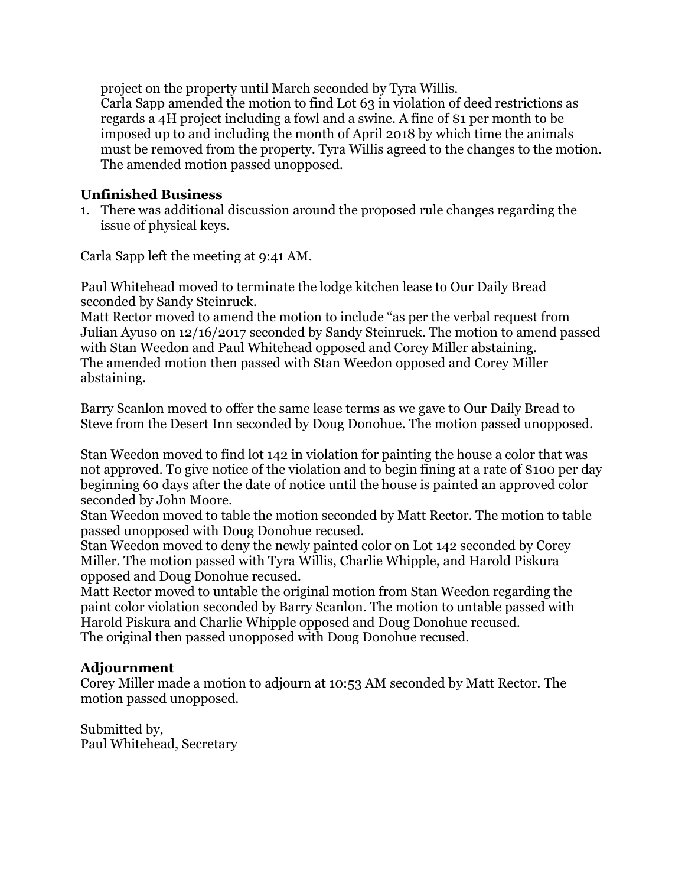project on the property until March seconded by Tyra Willis. Carla Sapp amended the motion to find Lot 63 in violation of deed restrictions as regards a 4H project including a fowl and a swine. A fine of \$1 per month to be imposed up to and including the month of April 2018 by which time the animals must be removed from the property. Tyra Willis agreed to the changes to the motion. The amended motion passed unopposed.

### **Unfinished Business**

1. There was additional discussion around the proposed rule changes regarding the issue of physical keys.

Carla Sapp left the meeting at 9:41 AM.

Paul Whitehead moved to terminate the lodge kitchen lease to Our Daily Bread seconded by Sandy Steinruck.

Matt Rector moved to amend the motion to include "as per the verbal request from Julian Ayuso on 12/16/2017 seconded by Sandy Steinruck. The motion to amend passed with Stan Weedon and Paul Whitehead opposed and Corey Miller abstaining. The amended motion then passed with Stan Weedon opposed and Corey Miller abstaining.

Barry Scanlon moved to offer the same lease terms as we gave to Our Daily Bread to Steve from the Desert Inn seconded by Doug Donohue. The motion passed unopposed.

Stan Weedon moved to find lot 142 in violation for painting the house a color that was not approved. To give notice of the violation and to begin fining at a rate of \$100 per day beginning 60 days after the date of notice until the house is painted an approved color seconded by John Moore.

Stan Weedon moved to table the motion seconded by Matt Rector. The motion to table passed unopposed with Doug Donohue recused.

Stan Weedon moved to deny the newly painted color on Lot 142 seconded by Corey Miller. The motion passed with Tyra Willis, Charlie Whipple, and Harold Piskura opposed and Doug Donohue recused.

Matt Rector moved to untable the original motion from Stan Weedon regarding the paint color violation seconded by Barry Scanlon. The motion to untable passed with Harold Piskura and Charlie Whipple opposed and Doug Donohue recused. The original then passed unopposed with Doug Donohue recused.

#### **Adjournment**

Corey Miller made a motion to adjourn at 10:53 AM seconded by Matt Rector. The motion passed unopposed.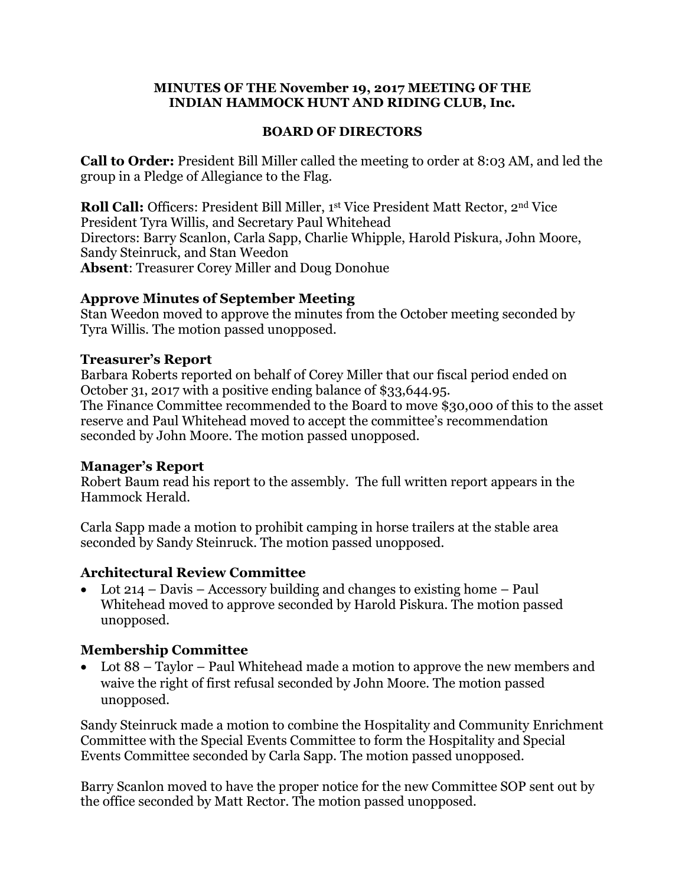#### **MINUTES OF THE November 19, 2017 MEETING OF THE INDIAN HAMMOCK HUNT AND RIDING CLUB, Inc.**

#### **BOARD OF DIRECTORS**

**Call to Order:** President Bill Miller called the meeting to order at 8:03 AM, and led the group in a Pledge of Allegiance to the Flag.

**Roll Call:** Officers: President Bill Miller, 1st Vice President Matt Rector, 2<sup>nd</sup> Vice President Tyra Willis, and Secretary Paul Whitehead Directors: Barry Scanlon, Carla Sapp, Charlie Whipple, Harold Piskura, John Moore, Sandy Steinruck, and Stan Weedon **Absent**: Treasurer Corey Miller and Doug Donohue

#### **Approve Minutes of September Meeting**

Stan Weedon moved to approve the minutes from the October meeting seconded by Tyra Willis. The motion passed unopposed.

#### **Treasurer's Report**

Barbara Roberts reported on behalf of Corey Miller that our fiscal period ended on October 31, 2017 with a positive ending balance of \$33,644.95. The Finance Committee recommended to the Board to move \$30,000 of this to the asset reserve and Paul Whitehead moved to accept the committee's recommendation seconded by John Moore. The motion passed unopposed.

#### **Manager's Report**

Robert Baum read his report to the assembly. The full written report appears in the Hammock Herald.

Carla Sapp made a motion to prohibit camping in horse trailers at the stable area seconded by Sandy Steinruck. The motion passed unopposed.

### **Architectural Review Committee**

• Lot 214 – Davis – Accessory building and changes to existing home – Paul Whitehead moved to approve seconded by Harold Piskura. The motion passed unopposed.

### **Membership Committee**

• Lot 88 – Taylor – Paul Whitehead made a motion to approve the new members and waive the right of first refusal seconded by John Moore. The motion passed unopposed.

Sandy Steinruck made a motion to combine the Hospitality and Community Enrichment Committee with the Special Events Committee to form the Hospitality and Special Events Committee seconded by Carla Sapp. The motion passed unopposed.

Barry Scanlon moved to have the proper notice for the new Committee SOP sent out by the office seconded by Matt Rector. The motion passed unopposed.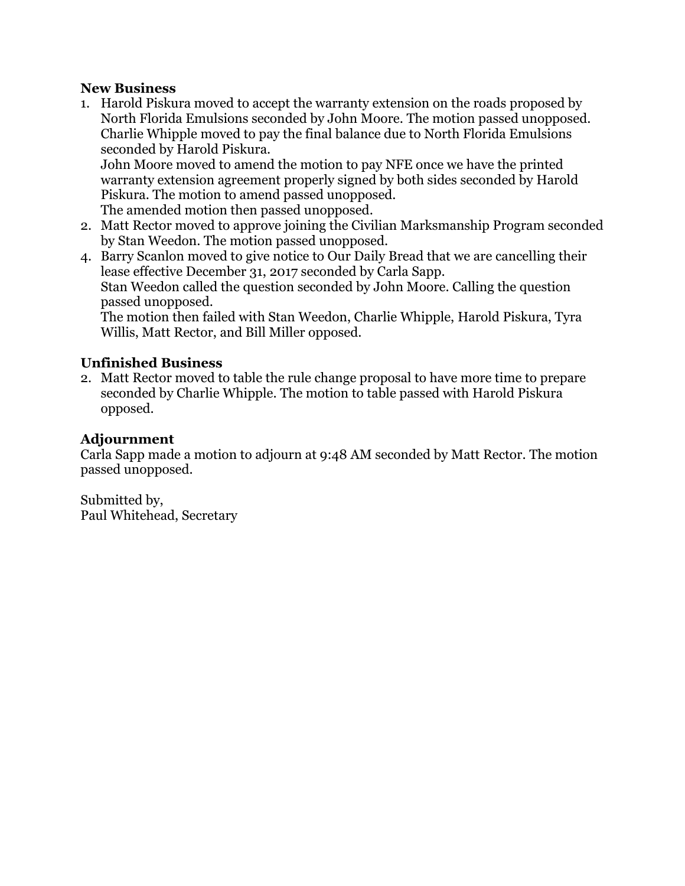### **New Business**

1. Harold Piskura moved to accept the warranty extension on the roads proposed by North Florida Emulsions seconded by John Moore. The motion passed unopposed. Charlie Whipple moved to pay the final balance due to North Florida Emulsions seconded by Harold Piskura.

John Moore moved to amend the motion to pay NFE once we have the printed warranty extension agreement properly signed by both sides seconded by Harold Piskura. The motion to amend passed unopposed.

The amended motion then passed unopposed.

2. Matt Rector moved to approve joining the Civilian Marksmanship Program seconded by Stan Weedon. The motion passed unopposed.

4. Barry Scanlon moved to give notice to Our Daily Bread that we are cancelling their lease effective December 31, 2017 seconded by Carla Sapp. Stan Weedon called the question seconded by John Moore. Calling the question passed unopposed.

The motion then failed with Stan Weedon, Charlie Whipple, Harold Piskura, Tyra Willis, Matt Rector, and Bill Miller opposed.

### **Unfinished Business**

2. Matt Rector moved to table the rule change proposal to have more time to prepare seconded by Charlie Whipple. The motion to table passed with Harold Piskura opposed.

### **Adjournment**

Carla Sapp made a motion to adjourn at 9:48 AM seconded by Matt Rector. The motion passed unopposed.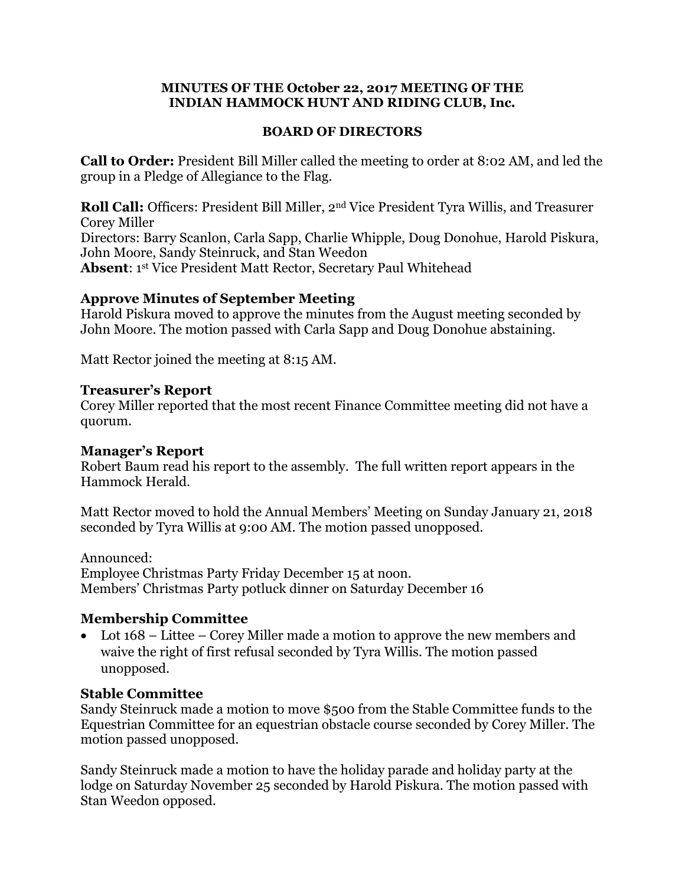#### **MINUTES OF THE October 22, 2017 MEETING OF THE INDIAN HAMMOCK HUNT AND RIDING CLUB, Inc.**

#### **BOARD OF DIRECTORS**

**Call to Order:** President Bill Miller called the meeting to order at 8:02 AM, and led the group in a Pledge of Allegiance to the Flag.

**Roll Call:** Officers: President Bill Miller, 2nd Vice President Tyra Willis, and Treasurer Corey Miller Directors: Barry Scanlon, Carla Sapp, Charlie Whipple, Doug Donohue, Harold Piskura, John Moore, Sandy Steinruck, and Stan Weedon **Absent**: 1 st Vice President Matt Rector, Secretary Paul Whitehead

#### **Approve Minutes of September Meeting**

Harold Piskura moved to approve the minutes from the August meeting seconded by John Moore. The motion passed with Carla Sapp and Doug Donohue abstaining.

Matt Rector joined the meeting at 8:15 AM.

#### **Treasurer's Report**

Corey Miller reported that the most recent Finance Committee meeting did not have a quorum.

#### **Manager's Report**

Robert Baum read his report to the assembly. The full written report appears in the Hammock Herald.

Matt Rector moved to hold the Annual Members' Meeting on Sunday January 21, 2018 seconded by Tyra Willis at 9:00 AM. The motion passed unopposed.

Announced: Employee Christmas Party Friday December 15 at noon. Members' Christmas Party potluck dinner on Saturday December 16

### **Membership Committee**

• Lot 168 – Littee – Corey Miller made a motion to approve the new members and waive the right of first refusal seconded by Tyra Willis. The motion passed unopposed.

### **Stable Committee**

Sandy Steinruck made a motion to move \$500 from the Stable Committee funds to the Equestrian Committee for an equestrian obstacle course seconded by Corey Miller. The motion passed unopposed.

Sandy Steinruck made a motion to have the holiday parade and holiday party at the lodge on Saturday November 25 seconded by Harold Piskura. The motion passed with Stan Weedon opposed.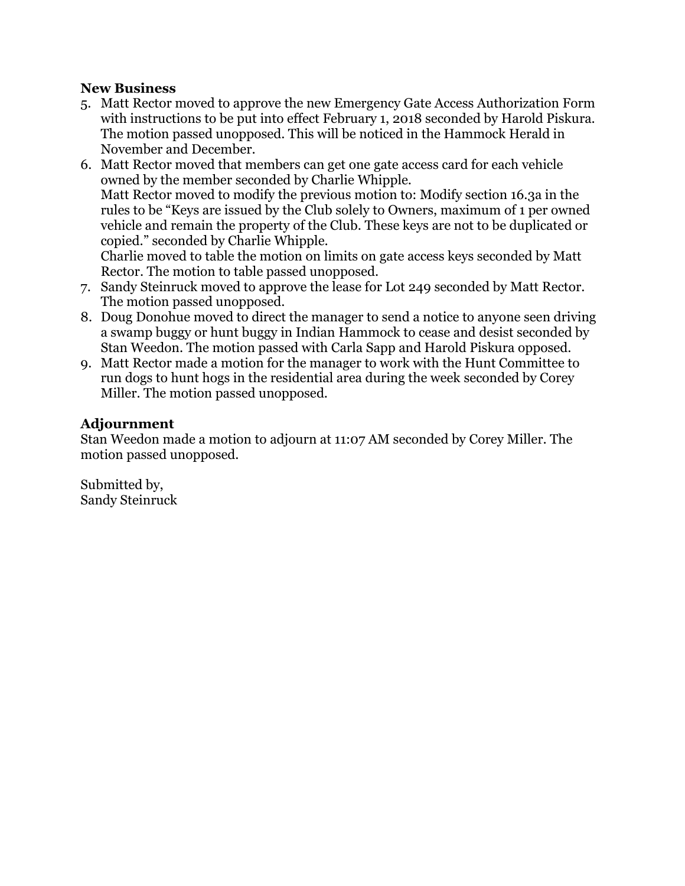### **New Business**

- 5. Matt Rector moved to approve the new Emergency Gate Access Authorization Form with instructions to be put into effect February 1, 2018 seconded by Harold Piskura. The motion passed unopposed. This will be noticed in the Hammock Herald in November and December.
- 6. Matt Rector moved that members can get one gate access card for each vehicle owned by the member seconded by Charlie Whipple. Matt Rector moved to modify the previous motion to: Modify section 16.3a in the rules to be "Keys are issued by the Club solely to Owners, maximum of 1 per owned vehicle and remain the property of the Club. These keys are not to be duplicated or copied." seconded by Charlie Whipple. Charlie moved to table the motion on limits on gate access keys seconded by Matt

Rector. The motion to table passed unopposed.

- 7. Sandy Steinruck moved to approve the lease for Lot 249 seconded by Matt Rector. The motion passed unopposed.
- 8. Doug Donohue moved to direct the manager to send a notice to anyone seen driving a swamp buggy or hunt buggy in Indian Hammock to cease and desist seconded by Stan Weedon. The motion passed with Carla Sapp and Harold Piskura opposed.
- 9. Matt Rector made a motion for the manager to work with the Hunt Committee to run dogs to hunt hogs in the residential area during the week seconded by Corey Miller. The motion passed unopposed.

### **Adjournment**

Stan Weedon made a motion to adjourn at 11:07 AM seconded by Corey Miller. The motion passed unopposed.

Submitted by, Sandy Steinruck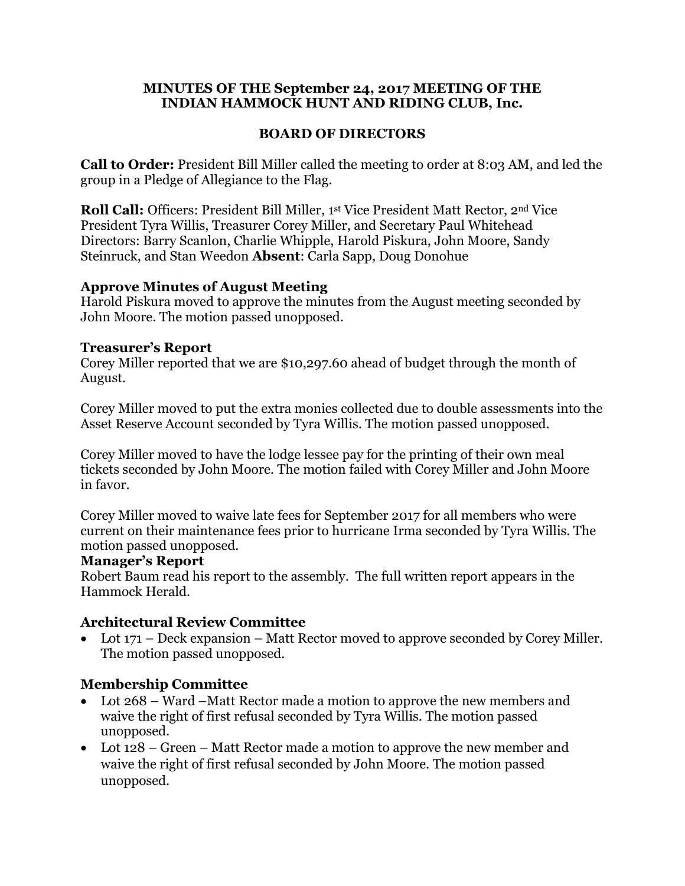#### **MINUTES OF THE September 24, 2017 MEETING OF THE INDIAN HAMMOCK HUNT AND RIDING CLUB, Inc.**

#### **BOARD OF DIRECTORS**

**Call to Order:** President Bill Miller called the meeting to order at 8:03 AM, and led the group in a Pledge of Allegiance to the Flag.

**Roll Call:** Officers: President Bill Miller, 1st Vice President Matt Rector, 2nd Vice President Tyra Willis, Treasurer Corey Miller, and Secretary Paul Whitehead Directors: Barry Scanlon, Charlie Whipple, Harold Piskura, John Moore, Sandy Steinruck, and Stan Weedon **Absent**: Carla Sapp, Doug Donohue

### **Approve Minutes of August Meeting**

Harold Piskura moved to approve the minutes from the August meeting seconded by John Moore. The motion passed unopposed.

### **Treasurer's Report**

Corey Miller reported that we are \$10,297.60 ahead of budget through the month of August.

Corey Miller moved to put the extra monies collected due to double assessments into the Asset Reserve Account seconded by Tyra Willis. The motion passed unopposed.

Corey Miller moved to have the lodge lessee pay for the printing of their own meal tickets seconded by John Moore. The motion failed with Corey Miller and John Moore in favor.

Corey Miller moved to waive late fees for September 2017 for all members who were current on their maintenance fees prior to hurricane Irma seconded by Tyra Willis. The motion passed unopposed.

#### **Manager's Report**

Robert Baum read his report to the assembly. The full written report appears in the Hammock Herald.

## **Architectural Review Committee**

• Lot 171 – Deck expansion – Matt Rector moved to approve seconded by Corey Miller. The motion passed unopposed.

### **Membership Committee**

- Lot 268 Ward –Matt Rector made a motion to approve the new members and waive the right of first refusal seconded by Tyra Willis. The motion passed unopposed.
- Lot 128 Green Matt Rector made a motion to approve the new member and waive the right of first refusal seconded by John Moore. The motion passed unopposed.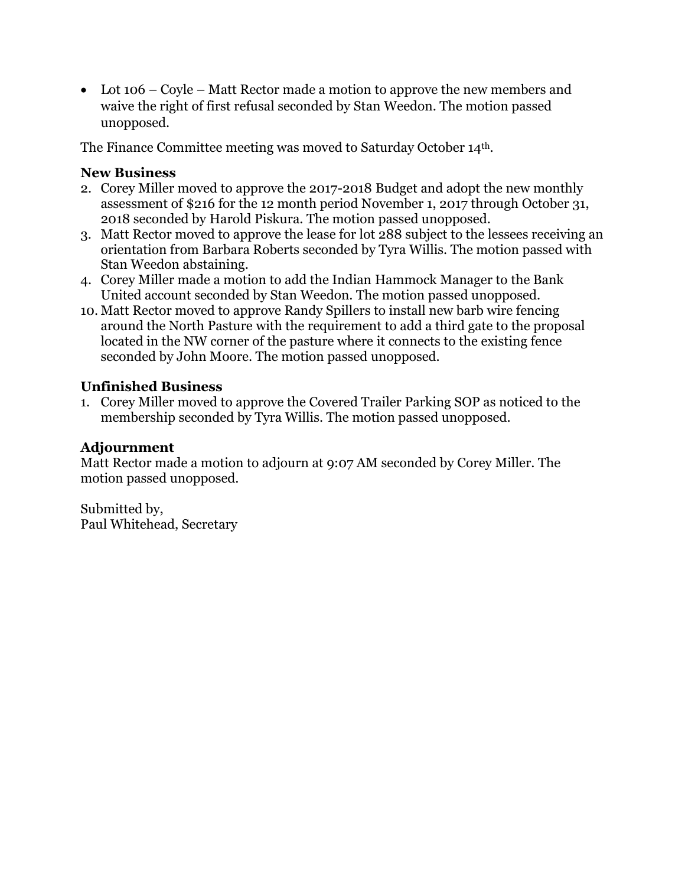• Lot 106 – Coyle – Matt Rector made a motion to approve the new members and waive the right of first refusal seconded by Stan Weedon. The motion passed unopposed.

The Finance Committee meeting was moved to Saturday October 14th.

### **New Business**

- 2. Corey Miller moved to approve the 2017-2018 Budget and adopt the new monthly assessment of \$216 for the 12 month period November 1, 2017 through October 31, 2018 seconded by Harold Piskura. The motion passed unopposed.
- 3. Matt Rector moved to approve the lease for lot 288 subject to the lessees receiving an orientation from Barbara Roberts seconded by Tyra Willis. The motion passed with Stan Weedon abstaining.
- 4. Corey Miller made a motion to add the Indian Hammock Manager to the Bank United account seconded by Stan Weedon. The motion passed unopposed.
- 10. Matt Rector moved to approve Randy Spillers to install new barb wire fencing around the North Pasture with the requirement to add a third gate to the proposal located in the NW corner of the pasture where it connects to the existing fence seconded by John Moore. The motion passed unopposed.

### **Unfinished Business**

1. Corey Miller moved to approve the Covered Trailer Parking SOP as noticed to the membership seconded by Tyra Willis. The motion passed unopposed.

### **Adjournment**

Matt Rector made a motion to adjourn at 9:07 AM seconded by Corey Miller. The motion passed unopposed.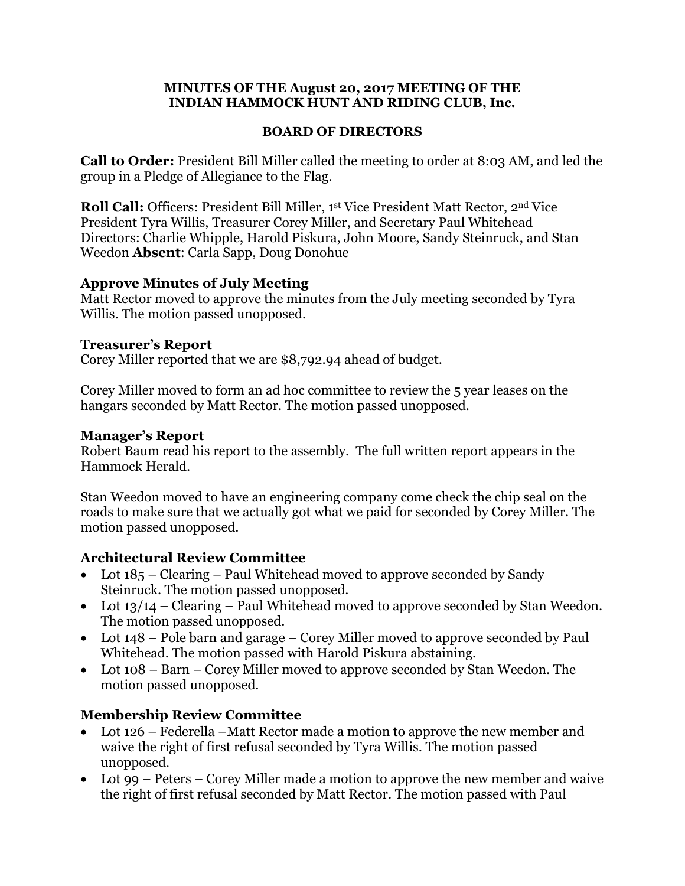#### **MINUTES OF THE August 20, 2017 MEETING OF THE INDIAN HAMMOCK HUNT AND RIDING CLUB, Inc.**

#### **BOARD OF DIRECTORS**

**Call to Order:** President Bill Miller called the meeting to order at 8:03 AM, and led the group in a Pledge of Allegiance to the Flag.

**Roll Call:** Officers: President Bill Miller, 1st Vice President Matt Rector, 2<sup>nd</sup> Vice President Tyra Willis, Treasurer Corey Miller, and Secretary Paul Whitehead Directors: Charlie Whipple, Harold Piskura, John Moore, Sandy Steinruck, and Stan Weedon **Absent**: Carla Sapp, Doug Donohue

### **Approve Minutes of July Meeting**

Matt Rector moved to approve the minutes from the July meeting seconded by Tyra Willis. The motion passed unopposed.

### **Treasurer's Report**

Corey Miller reported that we are \$8,792.94 ahead of budget.

Corey Miller moved to form an ad hoc committee to review the 5 year leases on the hangars seconded by Matt Rector. The motion passed unopposed.

### **Manager's Report**

Robert Baum read his report to the assembly. The full written report appears in the Hammock Herald.

Stan Weedon moved to have an engineering company come check the chip seal on the roads to make sure that we actually got what we paid for seconded by Corey Miller. The motion passed unopposed.

### **Architectural Review Committee**

- Lot 185 Clearing Paul Whitehead moved to approve seconded by Sandy Steinruck. The motion passed unopposed.
- Lot  $13/14$  Clearing Paul Whitehead moved to approve seconded by Stan Weedon. The motion passed unopposed.
- Lot 148 Pole barn and garage Corey Miller moved to approve seconded by Paul Whitehead. The motion passed with Harold Piskura abstaining.
- Lot 108 Barn Corey Miller moved to approve seconded by Stan Weedon. The motion passed unopposed.

## **Membership Review Committee**

- Lot 126 Federella –Matt Rector made a motion to approve the new member and waive the right of first refusal seconded by Tyra Willis. The motion passed unopposed.
- Lot 99 Peters Corey Miller made a motion to approve the new member and waive the right of first refusal seconded by Matt Rector. The motion passed with Paul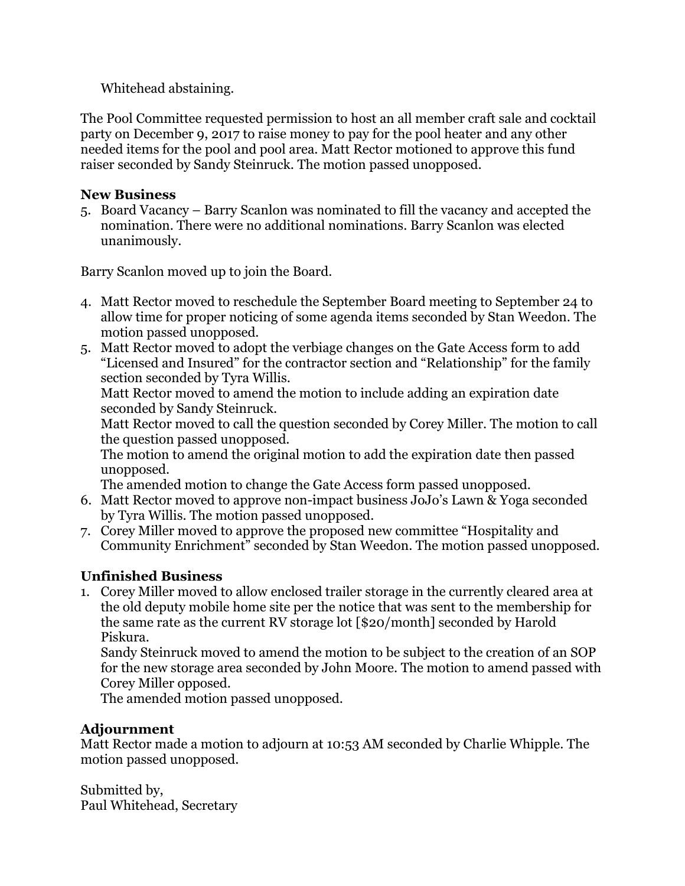Whitehead abstaining.

The Pool Committee requested permission to host an all member craft sale and cocktail party on December 9, 2017 to raise money to pay for the pool heater and any other needed items for the pool and pool area. Matt Rector motioned to approve this fund raiser seconded by Sandy Steinruck. The motion passed unopposed.

### **New Business**

5. Board Vacancy – Barry Scanlon was nominated to fill the vacancy and accepted the nomination. There were no additional nominations. Barry Scanlon was elected unanimously.

Barry Scanlon moved up to join the Board.

- 4. Matt Rector moved to reschedule the September Board meeting to September 24 to allow time for proper noticing of some agenda items seconded by Stan Weedon. The motion passed unopposed.
- 5. Matt Rector moved to adopt the verbiage changes on the Gate Access form to add "Licensed and Insured" for the contractor section and "Relationship" for the family section seconded by Tyra Willis.

Matt Rector moved to amend the motion to include adding an expiration date seconded by Sandy Steinruck.

Matt Rector moved to call the question seconded by Corey Miller. The motion to call the question passed unopposed.

The motion to amend the original motion to add the expiration date then passed unopposed.

The amended motion to change the Gate Access form passed unopposed.

- 6. Matt Rector moved to approve non-impact business JoJo's Lawn & Yoga seconded by Tyra Willis. The motion passed unopposed.
- 7. Corey Miller moved to approve the proposed new committee "Hospitality and Community Enrichment" seconded by Stan Weedon. The motion passed unopposed.

# **Unfinished Business**

1. Corey Miller moved to allow enclosed trailer storage in the currently cleared area at the old deputy mobile home site per the notice that was sent to the membership for the same rate as the current RV storage lot [\$20/month] seconded by Harold Piskura.

Sandy Steinruck moved to amend the motion to be subject to the creation of an SOP for the new storage area seconded by John Moore. The motion to amend passed with Corey Miller opposed.

The amended motion passed unopposed.

# **Adjournment**

Matt Rector made a motion to adjourn at 10:53 AM seconded by Charlie Whipple. The motion passed unopposed.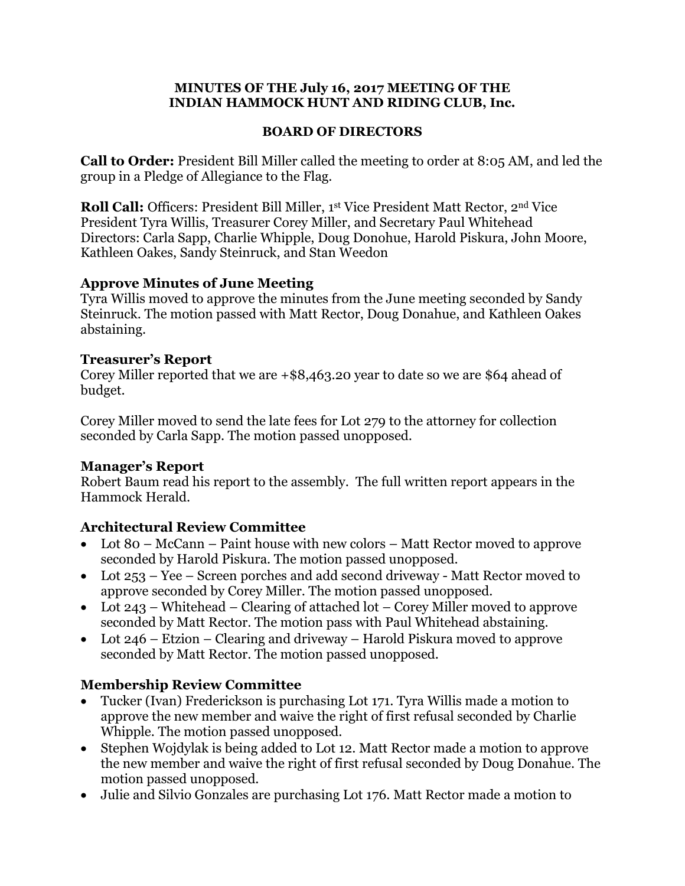#### **MINUTES OF THE July 16, 2017 MEETING OF THE INDIAN HAMMOCK HUNT AND RIDING CLUB, Inc.**

#### **BOARD OF DIRECTORS**

**Call to Order:** President Bill Miller called the meeting to order at 8:05 AM, and led the group in a Pledge of Allegiance to the Flag.

**Roll Call:** Officers: President Bill Miller, 1st Vice President Matt Rector, 2<sup>nd</sup> Vice President Tyra Willis, Treasurer Corey Miller, and Secretary Paul Whitehead Directors: Carla Sapp, Charlie Whipple, Doug Donohue, Harold Piskura, John Moore, Kathleen Oakes, Sandy Steinruck, and Stan Weedon

### **Approve Minutes of June Meeting**

Tyra Willis moved to approve the minutes from the June meeting seconded by Sandy Steinruck. The motion passed with Matt Rector, Doug Donahue, and Kathleen Oakes abstaining.

### **Treasurer's Report**

Corey Miller reported that we are +\$8,463.20 year to date so we are \$64 ahead of budget.

Corey Miller moved to send the late fees for Lot 279 to the attorney for collection seconded by Carla Sapp. The motion passed unopposed.

## **Manager's Report**

Robert Baum read his report to the assembly. The full written report appears in the Hammock Herald.

# **Architectural Review Committee**

- Lot 80 McCann Paint house with new colors Matt Rector moved to approve seconded by Harold Piskura. The motion passed unopposed.
- Lot 253 Yee Screen porches and add second driveway Matt Rector moved to approve seconded by Corey Miller. The motion passed unopposed.
- Lot 243 Whitehead Clearing of attached lot Corey Miller moved to approve seconded by Matt Rector. The motion pass with Paul Whitehead abstaining.
- Lot 246 Etzion Clearing and driveway Harold Piskura moved to approve seconded by Matt Rector. The motion passed unopposed.

# **Membership Review Committee**

- Tucker (Ivan) Frederickson is purchasing Lot 171. Tyra Willis made a motion to approve the new member and waive the right of first refusal seconded by Charlie Whipple. The motion passed unopposed.
- Stephen Wojdylak is being added to Lot 12. Matt Rector made a motion to approve the new member and waive the right of first refusal seconded by Doug Donahue. The motion passed unopposed.
- Julie and Silvio Gonzales are purchasing Lot 176. Matt Rector made a motion to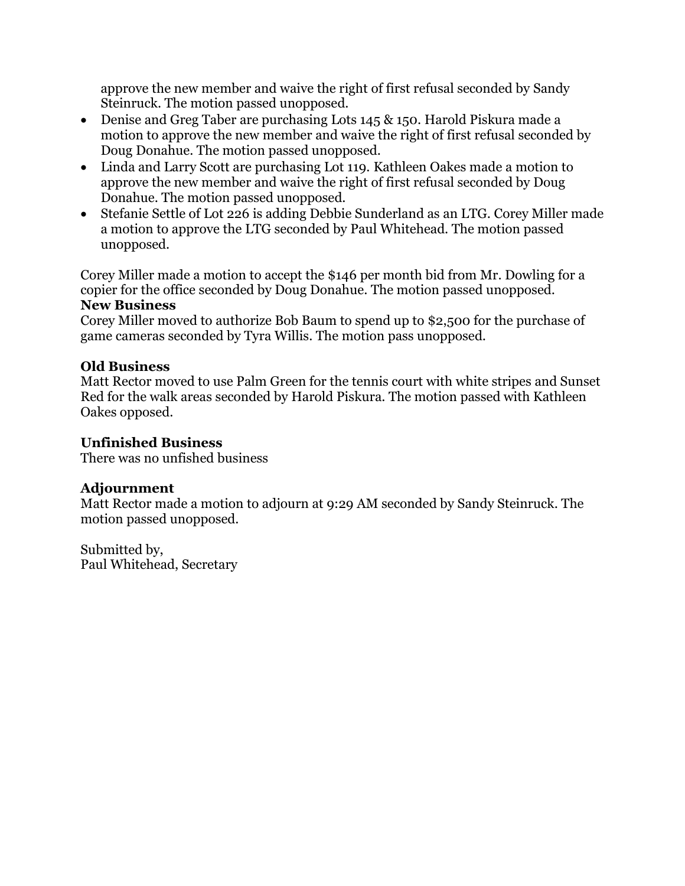approve the new member and waive the right of first refusal seconded by Sandy Steinruck. The motion passed unopposed.

- Denise and Greg Taber are purchasing Lots 145 & 150. Harold Piskura made a motion to approve the new member and waive the right of first refusal seconded by Doug Donahue. The motion passed unopposed.
- Linda and Larry Scott are purchasing Lot 119. Kathleen Oakes made a motion to approve the new member and waive the right of first refusal seconded by Doug Donahue. The motion passed unopposed.
- Stefanie Settle of Lot 226 is adding Debbie Sunderland as an LTG. Corey Miller made a motion to approve the LTG seconded by Paul Whitehead. The motion passed unopposed.

Corey Miller made a motion to accept the \$146 per month bid from Mr. Dowling for a copier for the office seconded by Doug Donahue. The motion passed unopposed.

### **New Business**

Corey Miller moved to authorize Bob Baum to spend up to \$2,500 for the purchase of game cameras seconded by Tyra Willis. The motion pass unopposed.

## **Old Business**

Matt Rector moved to use Palm Green for the tennis court with white stripes and Sunset Red for the walk areas seconded by Harold Piskura. The motion passed with Kathleen Oakes opposed.

### **Unfinished Business**

There was no unfished business

## **Adjournment**

Matt Rector made a motion to adjourn at 9:29 AM seconded by Sandy Steinruck. The motion passed unopposed.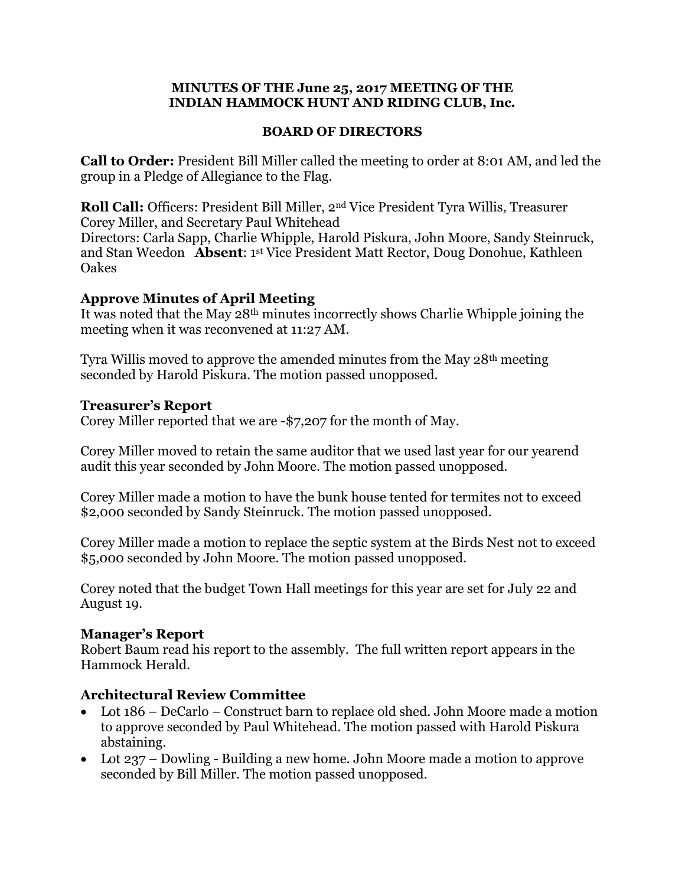#### **MINUTES OF THE June 25, 2017 MEETING OF THE INDIAN HAMMOCK HUNT AND RIDING CLUB, Inc.**

#### **BOARD OF DIRECTORS**

**Call to Order:** President Bill Miller called the meeting to order at 8:01 AM, and led the group in a Pledge of Allegiance to the Flag.

**Roll Call:** Officers: President Bill Miller, 2nd Vice President Tyra Willis, Treasurer Corey Miller, and Secretary Paul Whitehead Directors: Carla Sapp, Charlie Whipple, Harold Piskura, John Moore, Sandy Steinruck, and Stan Weedon **Absent**: 1 st Vice President Matt Rector, Doug Donohue, Kathleen **Oakes** 

### **Approve Minutes of April Meeting**

It was noted that the May 28th minutes incorrectly shows Charlie Whipple joining the meeting when it was reconvened at 11:27 AM.

Tyra Willis moved to approve the amended minutes from the May 28th meeting seconded by Harold Piskura. The motion passed unopposed.

#### **Treasurer's Report**

Corey Miller reported that we are -\$7,207 for the month of May.

Corey Miller moved to retain the same auditor that we used last year for our yearend audit this year seconded by John Moore. The motion passed unopposed.

Corey Miller made a motion to have the bunk house tented for termites not to exceed \$2,000 seconded by Sandy Steinruck. The motion passed unopposed.

Corey Miller made a motion to replace the septic system at the Birds Nest not to exceed \$5,000 seconded by John Moore. The motion passed unopposed.

Corey noted that the budget Town Hall meetings for this year are set for July 22 and August 19.

### **Manager's Report**

Robert Baum read his report to the assembly. The full written report appears in the Hammock Herald.

### **Architectural Review Committee**

- Lot 186 DeCarlo Construct barn to replace old shed. John Moore made a motion to approve seconded by Paul Whitehead. The motion passed with Harold Piskura abstaining.
- Lot 237 Dowling Building a new home. John Moore made a motion to approve seconded by Bill Miller. The motion passed unopposed.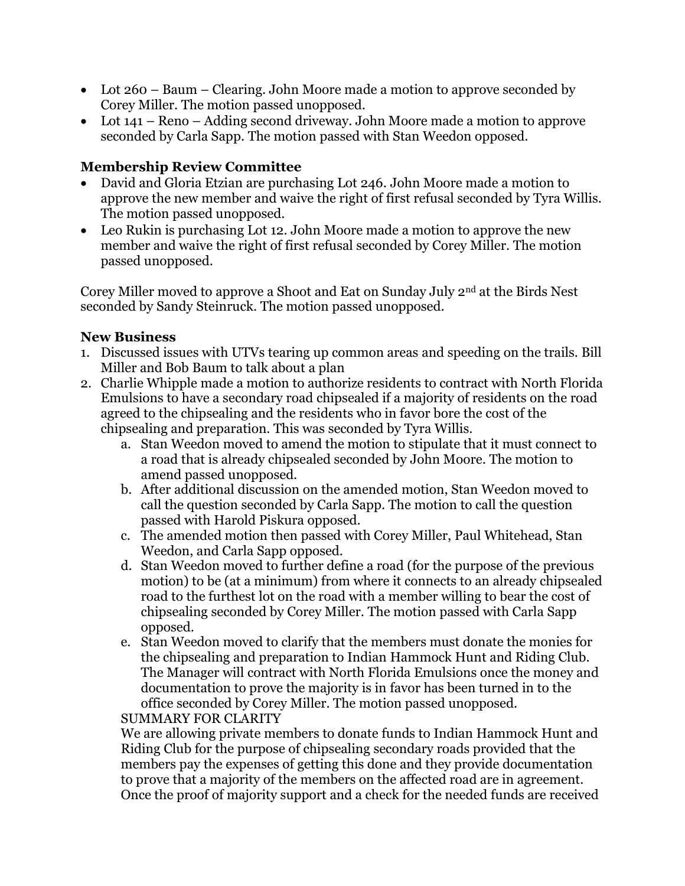- Lot 260 Baum Clearing. John Moore made a motion to approve seconded by Corey Miller. The motion passed unopposed.
- Lot 141 Reno Adding second driveway. John Moore made a motion to approve seconded by Carla Sapp. The motion passed with Stan Weedon opposed.

## **Membership Review Committee**

- David and Gloria Etzian are purchasing Lot 246. John Moore made a motion to approve the new member and waive the right of first refusal seconded by Tyra Willis. The motion passed unopposed.
- Leo Rukin is purchasing Lot 12. John Moore made a motion to approve the new member and waive the right of first refusal seconded by Corey Miller. The motion passed unopposed.

Corey Miller moved to approve a Shoot and Eat on Sunday July 2nd at the Birds Nest seconded by Sandy Steinruck. The motion passed unopposed.

### **New Business**

- 1. Discussed issues with UTVs tearing up common areas and speeding on the trails. Bill Miller and Bob Baum to talk about a plan
- 2. Charlie Whipple made a motion to authorize residents to contract with North Florida Emulsions to have a secondary road chipsealed if a majority of residents on the road agreed to the chipsealing and the residents who in favor bore the cost of the chipsealing and preparation. This was seconded by Tyra Willis.
	- a. Stan Weedon moved to amend the motion to stipulate that it must connect to a road that is already chipsealed seconded by John Moore. The motion to amend passed unopposed.
	- b. After additional discussion on the amended motion, Stan Weedon moved to call the question seconded by Carla Sapp. The motion to call the question passed with Harold Piskura opposed.
	- c. The amended motion then passed with Corey Miller, Paul Whitehead, Stan Weedon, and Carla Sapp opposed.
	- d. Stan Weedon moved to further define a road (for the purpose of the previous motion) to be (at a minimum) from where it connects to an already chipsealed road to the furthest lot on the road with a member willing to bear the cost of chipsealing seconded by Corey Miller. The motion passed with Carla Sapp opposed.
	- e. Stan Weedon moved to clarify that the members must donate the monies for the chipsealing and preparation to Indian Hammock Hunt and Riding Club. The Manager will contract with North Florida Emulsions once the money and documentation to prove the majority is in favor has been turned in to the office seconded by Corey Miller. The motion passed unopposed.

### SUMMARY FOR CLARITY

We are allowing private members to donate funds to Indian Hammock Hunt and Riding Club for the purpose of chipsealing secondary roads provided that the members pay the expenses of getting this done and they provide documentation to prove that a majority of the members on the affected road are in agreement. Once the proof of majority support and a check for the needed funds are received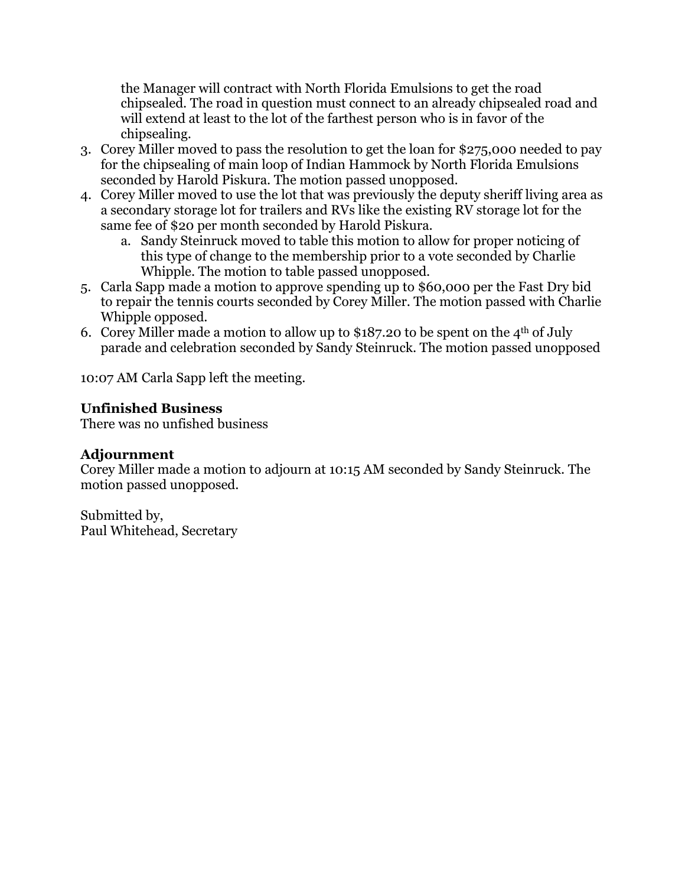the Manager will contract with North Florida Emulsions to get the road chipsealed. The road in question must connect to an already chipsealed road and will extend at least to the lot of the farthest person who is in favor of the chipsealing.

- 3. Corey Miller moved to pass the resolution to get the loan for \$275,000 needed to pay for the chipsealing of main loop of Indian Hammock by North Florida Emulsions seconded by Harold Piskura. The motion passed unopposed.
- 4. Corey Miller moved to use the lot that was previously the deputy sheriff living area as a secondary storage lot for trailers and RVs like the existing RV storage lot for the same fee of \$20 per month seconded by Harold Piskura.
	- a. Sandy Steinruck moved to table this motion to allow for proper noticing of this type of change to the membership prior to a vote seconded by Charlie Whipple. The motion to table passed unopposed.
- 5. Carla Sapp made a motion to approve spending up to \$60,000 per the Fast Dry bid to repair the tennis courts seconded by Corey Miller. The motion passed with Charlie Whipple opposed.
- 6. Corey Miller made a motion to allow up to \$187.20 to be spent on the 4<sup>th</sup> of July parade and celebration seconded by Sandy Steinruck. The motion passed unopposed

10:07 AM Carla Sapp left the meeting.

### **Unfinished Business**

There was no unfished business

### **Adjournment**

Corey Miller made a motion to adjourn at 10:15 AM seconded by Sandy Steinruck. The motion passed unopposed.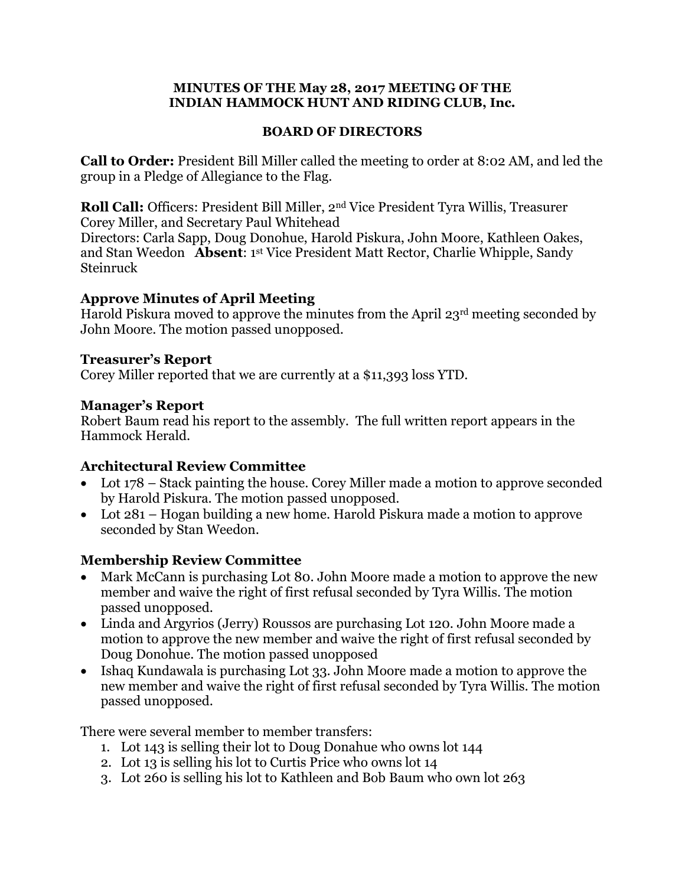#### **MINUTES OF THE May 28, 2017 MEETING OF THE INDIAN HAMMOCK HUNT AND RIDING CLUB, Inc.**

#### **BOARD OF DIRECTORS**

**Call to Order:** President Bill Miller called the meeting to order at 8:02 AM, and led the group in a Pledge of Allegiance to the Flag.

**Roll Call:** Officers: President Bill Miller, 2nd Vice President Tyra Willis, Treasurer Corey Miller, and Secretary Paul Whitehead

Directors: Carla Sapp, Doug Donohue, Harold Piskura, John Moore, Kathleen Oakes, and Stan Weedon **Absent**: 1 st Vice President Matt Rector, Charlie Whipple, Sandy Steinruck

#### **Approve Minutes of April Meeting**

Harold Piskura moved to approve the minutes from the April 23rd meeting seconded by John Moore. The motion passed unopposed.

#### **Treasurer's Report**

Corey Miller reported that we are currently at a \$11,393 loss YTD.

#### **Manager's Report**

Robert Baum read his report to the assembly. The full written report appears in the Hammock Herald.

#### **Architectural Review Committee**

- Lot 178 Stack painting the house. Corey Miller made a motion to approve seconded by Harold Piskura. The motion passed unopposed.
- Lot 281 Hogan building a new home. Harold Piskura made a motion to approve seconded by Stan Weedon.

### **Membership Review Committee**

- Mark McCann is purchasing Lot 80. John Moore made a motion to approve the new member and waive the right of first refusal seconded by Tyra Willis. The motion passed unopposed.
- Linda and Argyrios (Jerry) Roussos are purchasing Lot 120. John Moore made a motion to approve the new member and waive the right of first refusal seconded by Doug Donohue. The motion passed unopposed
- Ishaq Kundawala is purchasing Lot 33. John Moore made a motion to approve the new member and waive the right of first refusal seconded by Tyra Willis. The motion passed unopposed.

There were several member to member transfers:

- 1. Lot 143 is selling their lot to Doug Donahue who owns lot 144
- 2. Lot 13 is selling his lot to Curtis Price who owns lot 14
- 3. Lot 260 is selling his lot to Kathleen and Bob Baum who own lot 263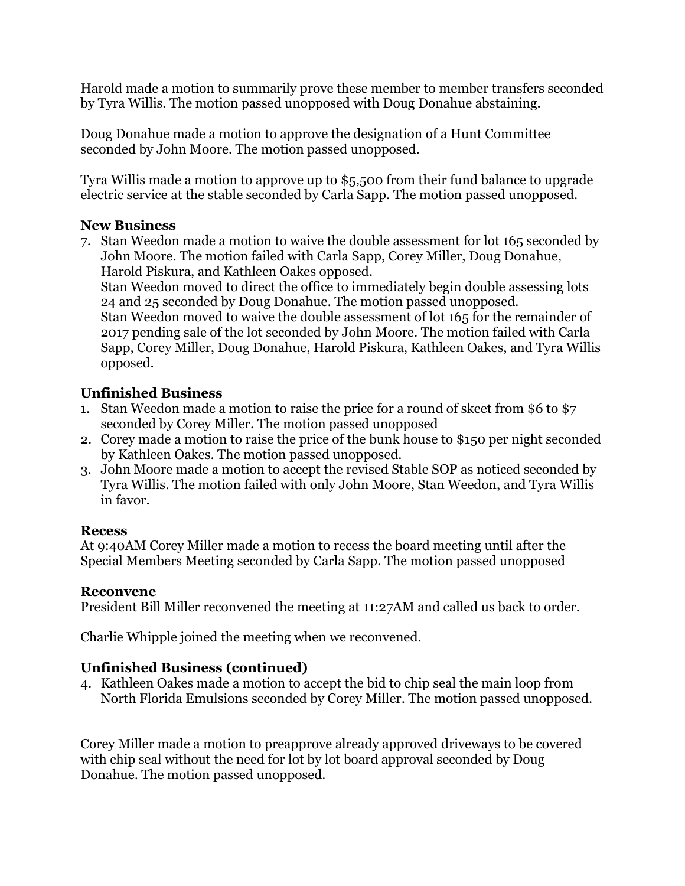Harold made a motion to summarily prove these member to member transfers seconded by Tyra Willis. The motion passed unopposed with Doug Donahue abstaining.

Doug Donahue made a motion to approve the designation of a Hunt Committee seconded by John Moore. The motion passed unopposed.

Tyra Willis made a motion to approve up to \$5,500 from their fund balance to upgrade electric service at the stable seconded by Carla Sapp. The motion passed unopposed.

### **New Business**

7. Stan Weedon made a motion to waive the double assessment for lot 165 seconded by John Moore. The motion failed with Carla Sapp, Corey Miller, Doug Donahue, Harold Piskura, and Kathleen Oakes opposed.

Stan Weedon moved to direct the office to immediately begin double assessing lots 24 and 25 seconded by Doug Donahue. The motion passed unopposed. Stan Weedon moved to waive the double assessment of lot 165 for the remainder of

2017 pending sale of the lot seconded by John Moore. The motion failed with Carla Sapp, Corey Miller, Doug Donahue, Harold Piskura, Kathleen Oakes, and Tyra Willis opposed.

## **Unfinished Business**

- 1. Stan Weedon made a motion to raise the price for a round of skeet from \$6 to \$7 seconded by Corey Miller. The motion passed unopposed
- 2. Corey made a motion to raise the price of the bunk house to \$150 per night seconded by Kathleen Oakes. The motion passed unopposed.
- 3. John Moore made a motion to accept the revised Stable SOP as noticed seconded by Tyra Willis. The motion failed with only John Moore, Stan Weedon, and Tyra Willis in favor.

### **Recess**

At 9:40AM Corey Miller made a motion to recess the board meeting until after the Special Members Meeting seconded by Carla Sapp. The motion passed unopposed

### **Reconvene**

President Bill Miller reconvened the meeting at 11:27AM and called us back to order.

Charlie Whipple joined the meeting when we reconvened.

## **Unfinished Business (continued)**

4. Kathleen Oakes made a motion to accept the bid to chip seal the main loop from North Florida Emulsions seconded by Corey Miller. The motion passed unopposed.

Corey Miller made a motion to preapprove already approved driveways to be covered with chip seal without the need for lot by lot board approval seconded by Doug Donahue. The motion passed unopposed.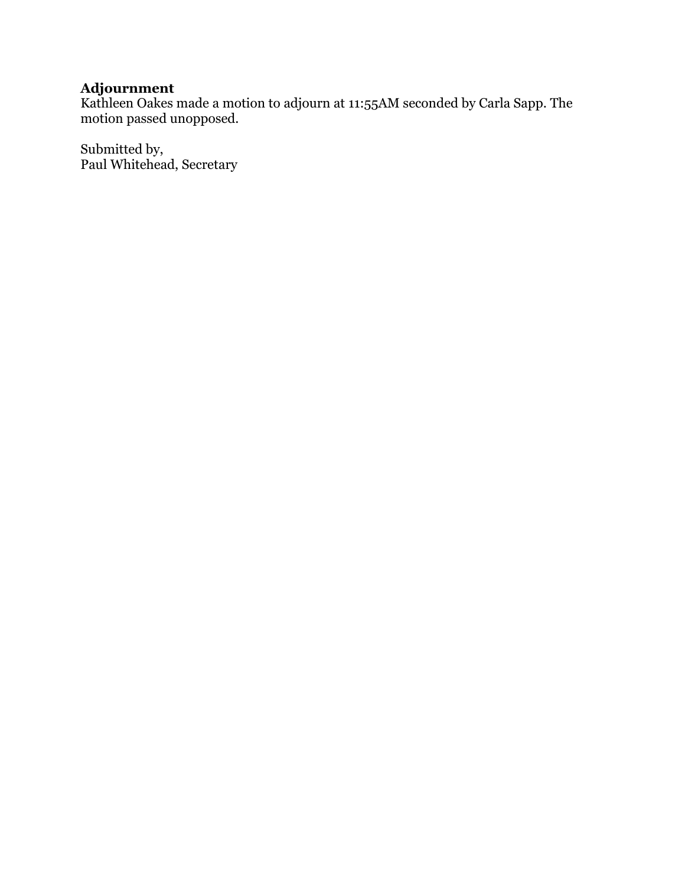## **Adjournment**

Kathleen Oakes made a motion to adjourn at 11:55AM seconded by Carla Sapp. The motion passed unopposed.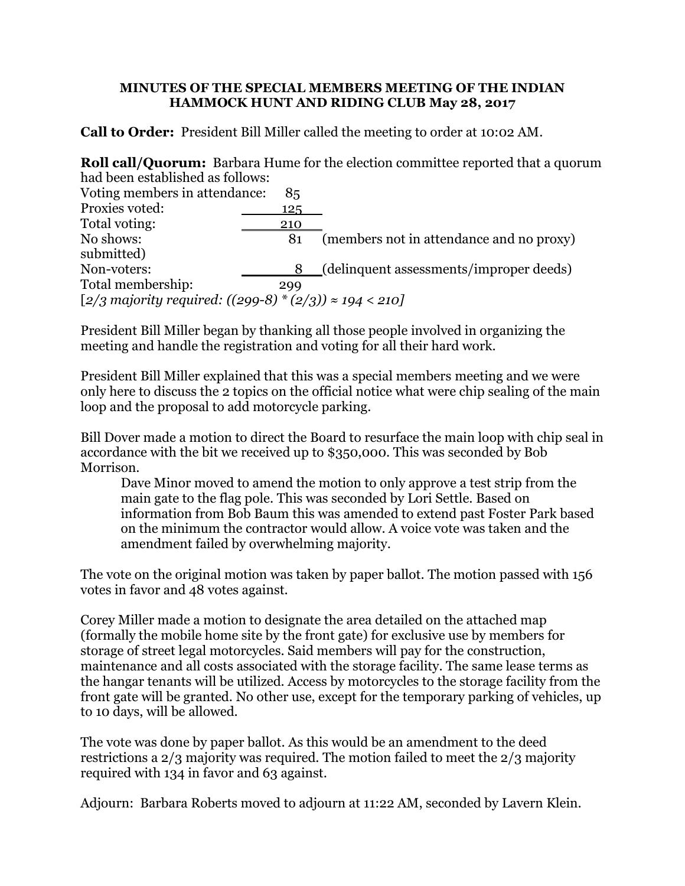#### **MINUTES OF THE SPECIAL MEMBERS MEETING OF THE INDIAN HAMMOCK HUNT AND RIDING CLUB May 28, 2017**

**Call to Order:** President Bill Miller called the meeting to order at 10:02 AM.

**Roll call/Quorum:** Barbara Hume for the election committee reported that a quorum had been established as follows:

| Voting members in attendance:                                   | 85   |                                          |  |  |
|-----------------------------------------------------------------|------|------------------------------------------|--|--|
| Proxies voted:                                                  | 125. |                                          |  |  |
| Total voting:                                                   | 210  |                                          |  |  |
| No shows:                                                       | 81   | (members not in attendance and no proxy) |  |  |
| submitted)                                                      |      |                                          |  |  |
| Non-voters:                                                     |      | (delinquent assessments/improper deeds)  |  |  |
| Total membership:                                               | 299  |                                          |  |  |
| [2/3 majority required: $((299-8) * (2/3)) \approx 194 < 210$ ] |      |                                          |  |  |

President Bill Miller began by thanking all those people involved in organizing the meeting and handle the registration and voting for all their hard work.

President Bill Miller explained that this was a special members meeting and we were only here to discuss the 2 topics on the official notice what were chip sealing of the main loop and the proposal to add motorcycle parking.

Bill Dover made a motion to direct the Board to resurface the main loop with chip seal in accordance with the bit we received up to \$350,000. This was seconded by Bob Morrison.

Dave Minor moved to amend the motion to only approve a test strip from the main gate to the flag pole. This was seconded by Lori Settle. Based on information from Bob Baum this was amended to extend past Foster Park based on the minimum the contractor would allow. A voice vote was taken and the amendment failed by overwhelming majority.

The vote on the original motion was taken by paper ballot. The motion passed with 156 votes in favor and 48 votes against.

Corey Miller made a motion to designate the area detailed on the attached map (formally the mobile home site by the front gate) for exclusive use by members for storage of street legal motorcycles. Said members will pay for the construction, maintenance and all costs associated with the storage facility. The same lease terms as the hangar tenants will be utilized. Access by motorcycles to the storage facility from the front gate will be granted. No other use, except for the temporary parking of vehicles, up to 10 days, will be allowed.

The vote was done by paper ballot. As this would be an amendment to the deed restrictions a 2/3 majority was required. The motion failed to meet the 2/3 majority required with 134 in favor and 63 against.

Adjourn: Barbara Roberts moved to adjourn at 11:22 AM, seconded by Lavern Klein.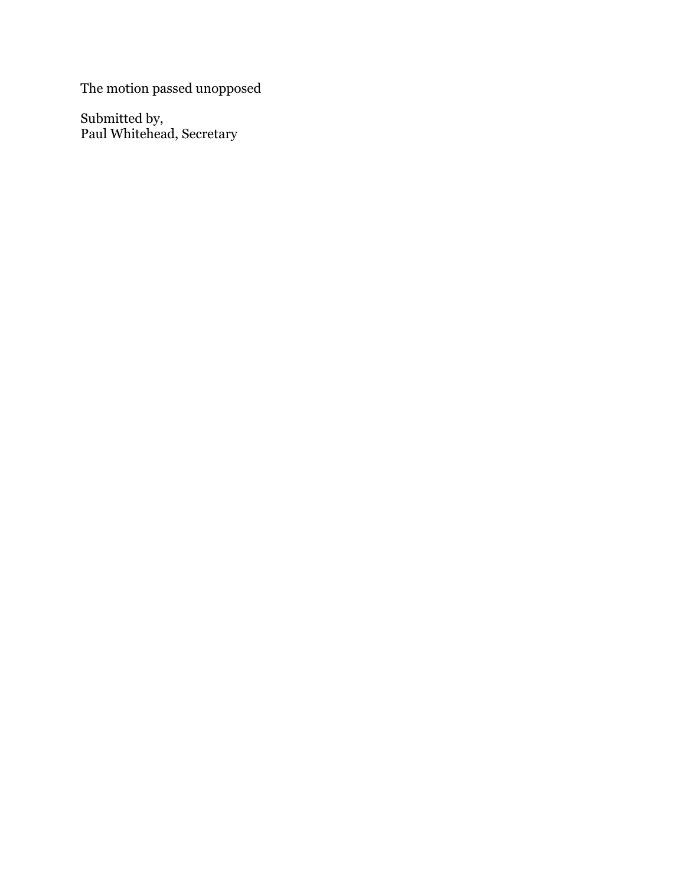The motion passed unopposed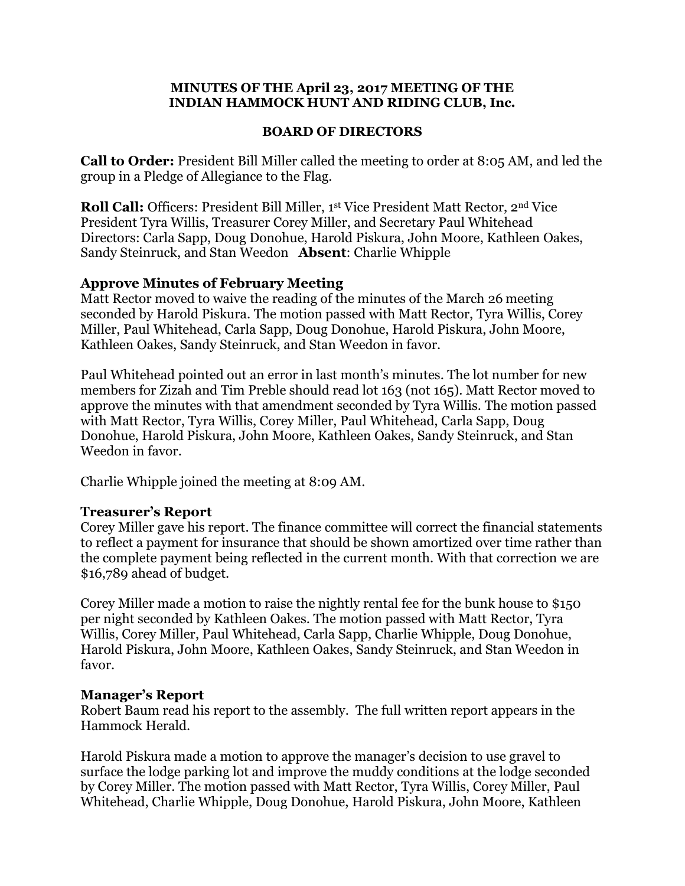#### **MINUTES OF THE April 23, 2017 MEETING OF THE INDIAN HAMMOCK HUNT AND RIDING CLUB, Inc.**

#### **BOARD OF DIRECTORS**

**Call to Order:** President Bill Miller called the meeting to order at 8:05 AM, and led the group in a Pledge of Allegiance to the Flag.

**Roll Call:** Officers: President Bill Miller, 1st Vice President Matt Rector, 2nd Vice President Tyra Willis, Treasurer Corey Miller, and Secretary Paul Whitehead Directors: Carla Sapp, Doug Donohue, Harold Piskura, John Moore, Kathleen Oakes, Sandy Steinruck, and Stan Weedon **Absent**: Charlie Whipple

#### **Approve Minutes of February Meeting**

Matt Rector moved to waive the reading of the minutes of the March 26 meeting seconded by Harold Piskura. The motion passed with Matt Rector, Tyra Willis, Corey Miller, Paul Whitehead, Carla Sapp, Doug Donohue, Harold Piskura, John Moore, Kathleen Oakes, Sandy Steinruck, and Stan Weedon in favor.

Paul Whitehead pointed out an error in last month's minutes. The lot number for new members for Zizah and Tim Preble should read lot 163 (not 165). Matt Rector moved to approve the minutes with that amendment seconded by Tyra Willis. The motion passed with Matt Rector, Tyra Willis, Corey Miller, Paul Whitehead, Carla Sapp, Doug Donohue, Harold Piskura, John Moore, Kathleen Oakes, Sandy Steinruck, and Stan Weedon in favor.

Charlie Whipple joined the meeting at 8:09 AM.

#### **Treasurer's Report**

Corey Miller gave his report. The finance committee will correct the financial statements to reflect a payment for insurance that should be shown amortized over time rather than the complete payment being reflected in the current month. With that correction we are \$16,789 ahead of budget.

Corey Miller made a motion to raise the nightly rental fee for the bunk house to \$150 per night seconded by Kathleen Oakes. The motion passed with Matt Rector, Tyra Willis, Corey Miller, Paul Whitehead, Carla Sapp, Charlie Whipple, Doug Donohue, Harold Piskura, John Moore, Kathleen Oakes, Sandy Steinruck, and Stan Weedon in favor.

#### **Manager's Report**

Robert Baum read his report to the assembly. The full written report appears in the Hammock Herald.

Harold Piskura made a motion to approve the manager's decision to use gravel to surface the lodge parking lot and improve the muddy conditions at the lodge seconded by Corey Miller. The motion passed with Matt Rector, Tyra Willis, Corey Miller, Paul Whitehead, Charlie Whipple, Doug Donohue, Harold Piskura, John Moore, Kathleen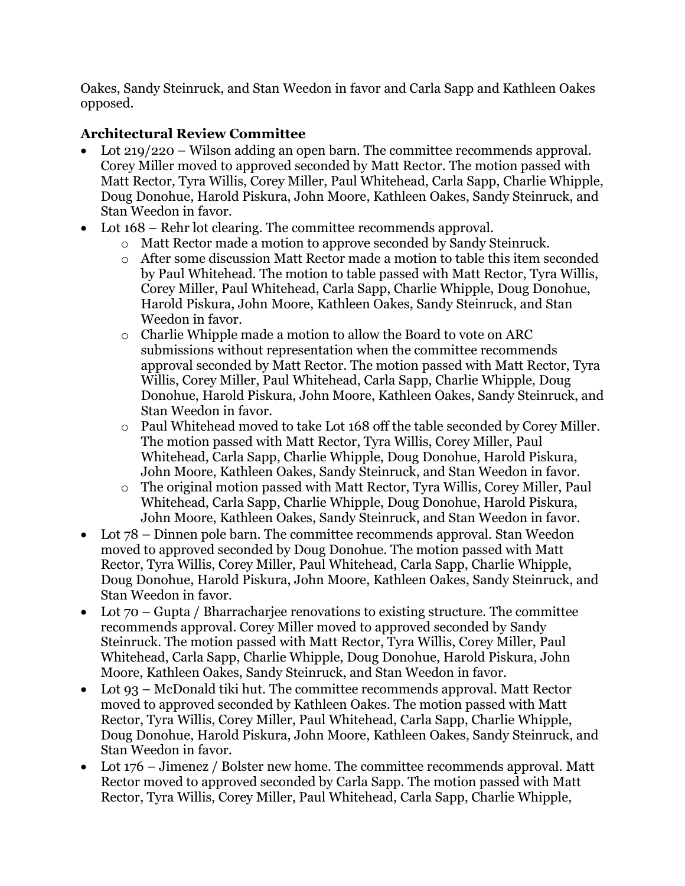Oakes, Sandy Steinruck, and Stan Weedon in favor and Carla Sapp and Kathleen Oakes opposed.

# **Architectural Review Committee**

- Lot 219/220 Wilson adding an open barn. The committee recommends approval. Corey Miller moved to approved seconded by Matt Rector. The motion passed with Matt Rector, Tyra Willis, Corey Miller, Paul Whitehead, Carla Sapp, Charlie Whipple, Doug Donohue, Harold Piskura, John Moore, Kathleen Oakes, Sandy Steinruck, and Stan Weedon in favor.
- Lot  $168$  Rehr lot clearing. The committee recommends approval.
	- o Matt Rector made a motion to approve seconded by Sandy Steinruck.
	- o After some discussion Matt Rector made a motion to table this item seconded by Paul Whitehead. The motion to table passed with Matt Rector, Tyra Willis, Corey Miller, Paul Whitehead, Carla Sapp, Charlie Whipple, Doug Donohue, Harold Piskura, John Moore, Kathleen Oakes, Sandy Steinruck, and Stan Weedon in favor.
	- o Charlie Whipple made a motion to allow the Board to vote on ARC submissions without representation when the committee recommends approval seconded by Matt Rector. The motion passed with Matt Rector, Tyra Willis, Corey Miller, Paul Whitehead, Carla Sapp, Charlie Whipple, Doug Donohue, Harold Piskura, John Moore, Kathleen Oakes, Sandy Steinruck, and Stan Weedon in favor.
	- o Paul Whitehead moved to take Lot 168 off the table seconded by Corey Miller. The motion passed with Matt Rector, Tyra Willis, Corey Miller, Paul Whitehead, Carla Sapp, Charlie Whipple, Doug Donohue, Harold Piskura, John Moore, Kathleen Oakes, Sandy Steinruck, and Stan Weedon in favor.
	- o The original motion passed with Matt Rector, Tyra Willis, Corey Miller, Paul Whitehead, Carla Sapp, Charlie Whipple, Doug Donohue, Harold Piskura, John Moore, Kathleen Oakes, Sandy Steinruck, and Stan Weedon in favor.
- Lot 78 Dinnen pole barn. The committee recommends approval. Stan Weedon moved to approved seconded by Doug Donohue. The motion passed with Matt Rector, Tyra Willis, Corey Miller, Paul Whitehead, Carla Sapp, Charlie Whipple, Doug Donohue, Harold Piskura, John Moore, Kathleen Oakes, Sandy Steinruck, and Stan Weedon in favor.
- Lot 70 Gupta / Bharrachariee renovations to existing structure. The committee recommends approval. Corey Miller moved to approved seconded by Sandy Steinruck. The motion passed with Matt Rector, Tyra Willis, Corey Miller, Paul Whitehead, Carla Sapp, Charlie Whipple, Doug Donohue, Harold Piskura, John Moore, Kathleen Oakes, Sandy Steinruck, and Stan Weedon in favor.
- Lot 93 McDonald tiki hut. The committee recommends approval. Matt Rector moved to approved seconded by Kathleen Oakes. The motion passed with Matt Rector, Tyra Willis, Corey Miller, Paul Whitehead, Carla Sapp, Charlie Whipple, Doug Donohue, Harold Piskura, John Moore, Kathleen Oakes, Sandy Steinruck, and Stan Weedon in favor.
- Lot 176 Jimenez / Bolster new home. The committee recommends approval. Matt Rector moved to approved seconded by Carla Sapp. The motion passed with Matt Rector, Tyra Willis, Corey Miller, Paul Whitehead, Carla Sapp, Charlie Whipple,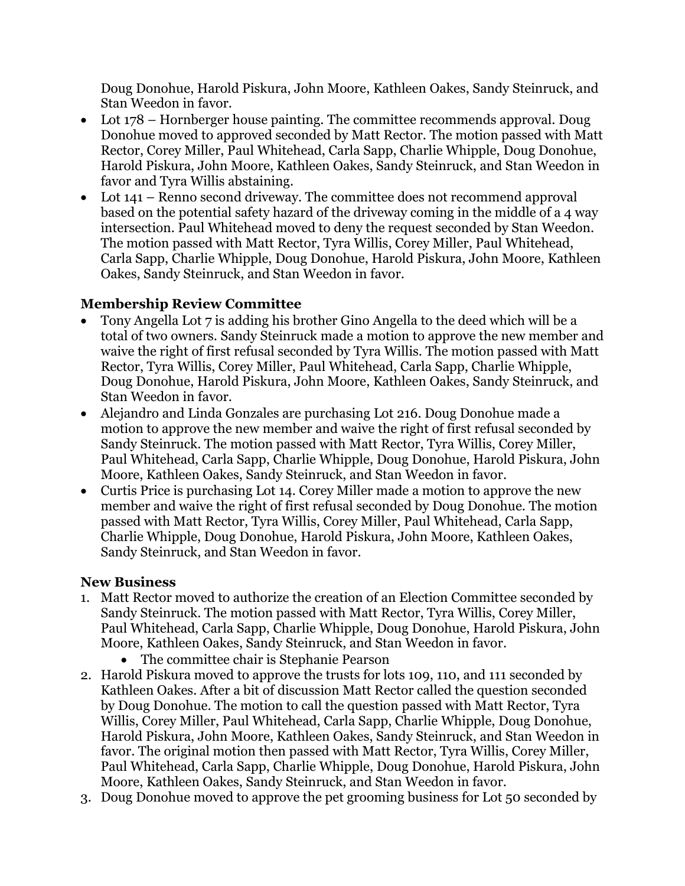Doug Donohue, Harold Piskura, John Moore, Kathleen Oakes, Sandy Steinruck, and Stan Weedon in favor.

- Lot 178 Hornberger house painting. The committee recommends approval. Doug Donohue moved to approved seconded by Matt Rector. The motion passed with Matt Rector, Corey Miller, Paul Whitehead, Carla Sapp, Charlie Whipple, Doug Donohue, Harold Piskura, John Moore, Kathleen Oakes, Sandy Steinruck, and Stan Weedon in favor and Tyra Willis abstaining.
- Lot 141 Renno second driveway. The committee does not recommend approval based on the potential safety hazard of the driveway coming in the middle of a 4 way intersection. Paul Whitehead moved to deny the request seconded by Stan Weedon. The motion passed with Matt Rector, Tyra Willis, Corey Miller, Paul Whitehead, Carla Sapp, Charlie Whipple, Doug Donohue, Harold Piskura, John Moore, Kathleen Oakes, Sandy Steinruck, and Stan Weedon in favor.

## **Membership Review Committee**

- Tony Angella Lot 7 is adding his brother Gino Angella to the deed which will be a total of two owners. Sandy Steinruck made a motion to approve the new member and waive the right of first refusal seconded by Tyra Willis. The motion passed with Matt Rector, Tyra Willis, Corey Miller, Paul Whitehead, Carla Sapp, Charlie Whipple, Doug Donohue, Harold Piskura, John Moore, Kathleen Oakes, Sandy Steinruck, and Stan Weedon in favor.
- Alejandro and Linda Gonzales are purchasing Lot 216. Doug Donohue made a motion to approve the new member and waive the right of first refusal seconded by Sandy Steinruck. The motion passed with Matt Rector, Tyra Willis, Corey Miller, Paul Whitehead, Carla Sapp, Charlie Whipple, Doug Donohue, Harold Piskura, John Moore, Kathleen Oakes, Sandy Steinruck, and Stan Weedon in favor.
- Curtis Price is purchasing Lot 14. Corey Miller made a motion to approve the new member and waive the right of first refusal seconded by Doug Donohue. The motion passed with Matt Rector, Tyra Willis, Corey Miller, Paul Whitehead, Carla Sapp, Charlie Whipple, Doug Donohue, Harold Piskura, John Moore, Kathleen Oakes, Sandy Steinruck, and Stan Weedon in favor.

### **New Business**

- 1. Matt Rector moved to authorize the creation of an Election Committee seconded by Sandy Steinruck. The motion passed with Matt Rector, Tyra Willis, Corey Miller, Paul Whitehead, Carla Sapp, Charlie Whipple, Doug Donohue, Harold Piskura, John Moore, Kathleen Oakes, Sandy Steinruck, and Stan Weedon in favor.
	- The committee chair is Stephanie Pearson
- 2. Harold Piskura moved to approve the trusts for lots 109, 110, and 111 seconded by Kathleen Oakes. After a bit of discussion Matt Rector called the question seconded by Doug Donohue. The motion to call the question passed with Matt Rector, Tyra Willis, Corey Miller, Paul Whitehead, Carla Sapp, Charlie Whipple, Doug Donohue, Harold Piskura, John Moore, Kathleen Oakes, Sandy Steinruck, and Stan Weedon in favor. The original motion then passed with Matt Rector, Tyra Willis, Corey Miller, Paul Whitehead, Carla Sapp, Charlie Whipple, Doug Donohue, Harold Piskura, John Moore, Kathleen Oakes, Sandy Steinruck, and Stan Weedon in favor.
- 3. Doug Donohue moved to approve the pet grooming business for Lot 50 seconded by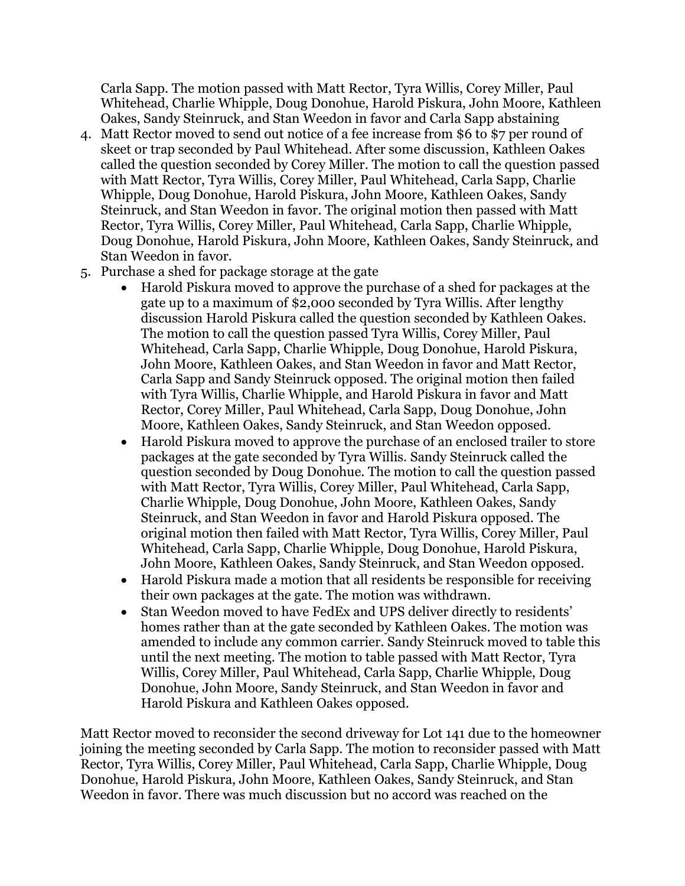Carla Sapp. The motion passed with Matt Rector, Tyra Willis, Corey Miller, Paul Whitehead, Charlie Whipple, Doug Donohue, Harold Piskura, John Moore, Kathleen Oakes, Sandy Steinruck, and Stan Weedon in favor and Carla Sapp abstaining

- 4. Matt Rector moved to send out notice of a fee increase from \$6 to \$7 per round of skeet or trap seconded by Paul Whitehead. After some discussion, Kathleen Oakes called the question seconded by Corey Miller. The motion to call the question passed with Matt Rector, Tyra Willis, Corey Miller, Paul Whitehead, Carla Sapp, Charlie Whipple, Doug Donohue, Harold Piskura, John Moore, Kathleen Oakes, Sandy Steinruck, and Stan Weedon in favor. The original motion then passed with Matt Rector, Tyra Willis, Corey Miller, Paul Whitehead, Carla Sapp, Charlie Whipple, Doug Donohue, Harold Piskura, John Moore, Kathleen Oakes, Sandy Steinruck, and Stan Weedon in favor.
- 5. Purchase a shed for package storage at the gate
	- Harold Piskura moved to approve the purchase of a shed for packages at the gate up to a maximum of \$2,000 seconded by Tyra Willis. After lengthy discussion Harold Piskura called the question seconded by Kathleen Oakes. The motion to call the question passed Tyra Willis, Corey Miller, Paul Whitehead, Carla Sapp, Charlie Whipple, Doug Donohue, Harold Piskura, John Moore, Kathleen Oakes, and Stan Weedon in favor and Matt Rector, Carla Sapp and Sandy Steinruck opposed. The original motion then failed with Tyra Willis, Charlie Whipple, and Harold Piskura in favor and Matt Rector, Corey Miller, Paul Whitehead, Carla Sapp, Doug Donohue, John Moore, Kathleen Oakes, Sandy Steinruck, and Stan Weedon opposed.
	- Harold Piskura moved to approve the purchase of an enclosed trailer to store packages at the gate seconded by Tyra Willis. Sandy Steinruck called the question seconded by Doug Donohue. The motion to call the question passed with Matt Rector, Tyra Willis, Corey Miller, Paul Whitehead, Carla Sapp, Charlie Whipple, Doug Donohue, John Moore, Kathleen Oakes, Sandy Steinruck, and Stan Weedon in favor and Harold Piskura opposed. The original motion then failed with Matt Rector, Tyra Willis, Corey Miller, Paul Whitehead, Carla Sapp, Charlie Whipple, Doug Donohue, Harold Piskura, John Moore, Kathleen Oakes, Sandy Steinruck, and Stan Weedon opposed.
	- Harold Piskura made a motion that all residents be responsible for receiving their own packages at the gate. The motion was withdrawn.
	- Stan Weedon moved to have FedEx and UPS deliver directly to residents' homes rather than at the gate seconded by Kathleen Oakes. The motion was amended to include any common carrier. Sandy Steinruck moved to table this until the next meeting. The motion to table passed with Matt Rector, Tyra Willis, Corey Miller, Paul Whitehead, Carla Sapp, Charlie Whipple, Doug Donohue, John Moore, Sandy Steinruck, and Stan Weedon in favor and Harold Piskura and Kathleen Oakes opposed.

Matt Rector moved to reconsider the second driveway for Lot 141 due to the homeowner joining the meeting seconded by Carla Sapp. The motion to reconsider passed with Matt Rector, Tyra Willis, Corey Miller, Paul Whitehead, Carla Sapp, Charlie Whipple, Doug Donohue, Harold Piskura, John Moore, Kathleen Oakes, Sandy Steinruck, and Stan Weedon in favor. There was much discussion but no accord was reached on the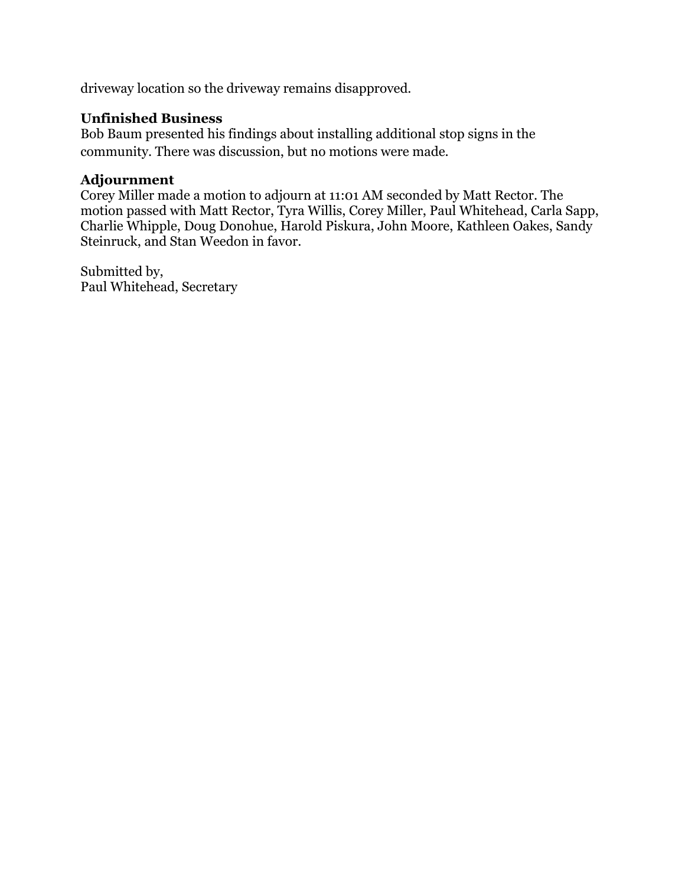driveway location so the driveway remains disapproved.

### **Unfinished Business**

Bob Baum presented his findings about installing additional stop signs in the community. There was discussion, but no motions were made.

### **Adjournment**

Corey Miller made a motion to adjourn at 11:01 AM seconded by Matt Rector. The motion passed with Matt Rector, Tyra Willis, Corey Miller, Paul Whitehead, Carla Sapp, Charlie Whipple, Doug Donohue, Harold Piskura, John Moore, Kathleen Oakes, Sandy Steinruck, and Stan Weedon in favor.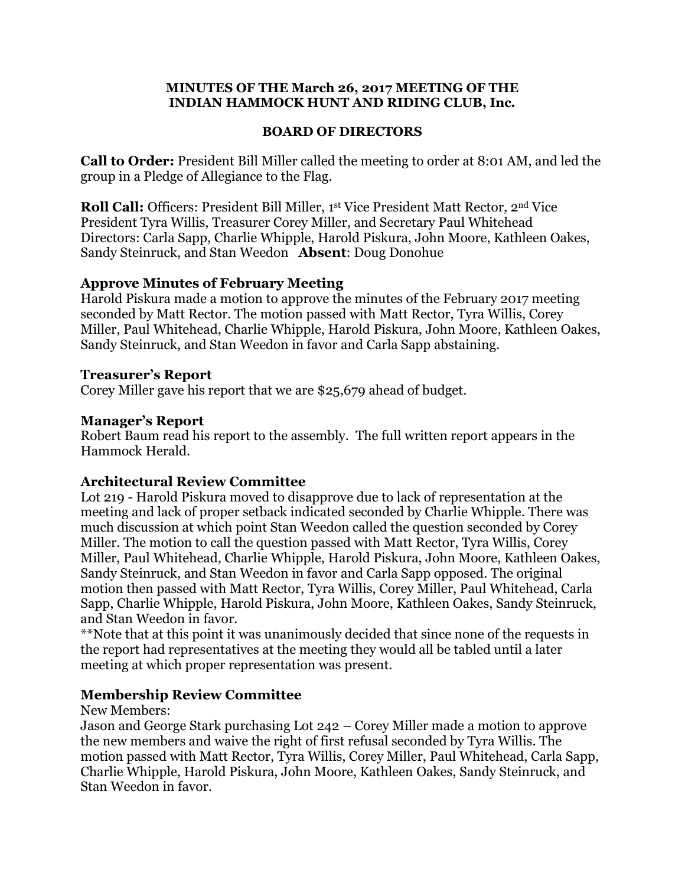#### **MINUTES OF THE March 26, 2017 MEETING OF THE INDIAN HAMMOCK HUNT AND RIDING CLUB, Inc.**

#### **BOARD OF DIRECTORS**

**Call to Order:** President Bill Miller called the meeting to order at 8:01 AM, and led the group in a Pledge of Allegiance to the Flag.

**Roll Call:** Officers: President Bill Miller, 1st Vice President Matt Rector, 2<sup>nd</sup> Vice President Tyra Willis, Treasurer Corey Miller, and Secretary Paul Whitehead Directors: Carla Sapp, Charlie Whipple, Harold Piskura, John Moore, Kathleen Oakes, Sandy Steinruck, and Stan Weedon **Absent**: Doug Donohue

#### **Approve Minutes of February Meeting**

Harold Piskura made a motion to approve the minutes of the February 2017 meeting seconded by Matt Rector. The motion passed with Matt Rector, Tyra Willis, Corey Miller, Paul Whitehead, Charlie Whipple, Harold Piskura, John Moore, Kathleen Oakes, Sandy Steinruck, and Stan Weedon in favor and Carla Sapp abstaining.

#### **Treasurer's Report**

Corey Miller gave his report that we are \$25,679 ahead of budget.

### **Manager's Report**

Robert Baum read his report to the assembly. The full written report appears in the Hammock Herald.

### **Architectural Review Committee**

Lot 219 - Harold Piskura moved to disapprove due to lack of representation at the meeting and lack of proper setback indicated seconded by Charlie Whipple. There was much discussion at which point Stan Weedon called the question seconded by Corey Miller. The motion to call the question passed with Matt Rector, Tyra Willis, Corey Miller, Paul Whitehead, Charlie Whipple, Harold Piskura, John Moore, Kathleen Oakes, Sandy Steinruck, and Stan Weedon in favor and Carla Sapp opposed. The original motion then passed with Matt Rector, Tyra Willis, Corey Miller, Paul Whitehead, Carla Sapp, Charlie Whipple, Harold Piskura, John Moore, Kathleen Oakes, Sandy Steinruck, and Stan Weedon in favor.

\*\*Note that at this point it was unanimously decided that since none of the requests in the report had representatives at the meeting they would all be tabled until a later meeting at which proper representation was present.

### **Membership Review Committee**

New Members:

Jason and George Stark purchasing Lot 242 – Corey Miller made a motion to approve the new members and waive the right of first refusal seconded by Tyra Willis. The motion passed with Matt Rector, Tyra Willis, Corey Miller, Paul Whitehead, Carla Sapp, Charlie Whipple, Harold Piskura, John Moore, Kathleen Oakes, Sandy Steinruck, and Stan Weedon in favor.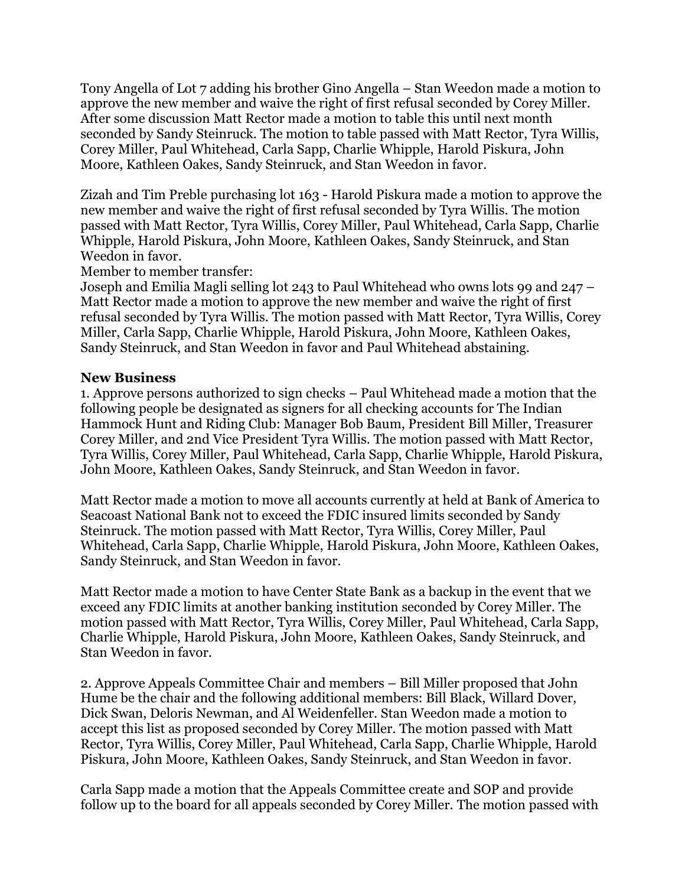Tony Angella of Lot 7 adding his brother Gino Angella – Stan Weedon made a motion to approve the new member and waive the right of first refusal seconded by Corey Miller. After some discussion Matt Rector made a motion to table this until next month seconded by Sandy Steinruck. The motion to table passed with Matt Rector, Tyra Willis, Corey Miller, Paul Whitehead, Carla Sapp, Charlie Whipple, Harold Piskura, John Moore, Kathleen Oakes, Sandy Steinruck, and Stan Weedon in favor.

Zizah and Tim Preble purchasing lot 163 - Harold Piskura made a motion to approve the new member and waive the right of first refusal seconded by Tyra Willis. The motion passed with Matt Rector, Tyra Willis, Corey Miller, Paul Whitehead, Carla Sapp, Charlie Whipple, Harold Piskura, John Moore, Kathleen Oakes, Sandy Steinruck, and Stan Weedon in favor.

Member to member transfer:

Joseph and Emilia Magli selling lot 243 to Paul Whitehead who owns lots 99 and 247 – Matt Rector made a motion to approve the new member and waive the right of first refusal seconded by Tyra Willis. The motion passed with Matt Rector, Tyra Willis, Corey Miller, Carla Sapp, Charlie Whipple, Harold Piskura, John Moore, Kathleen Oakes, Sandy Steinruck, and Stan Weedon in favor and Paul Whitehead abstaining.

#### **New Business**

1. Approve persons authorized to sign checks – Paul Whitehead made a motion that the following people be designated as signers for all checking accounts for The Indian Hammock Hunt and Riding Club: Manager Bob Baum, President Bill Miller, Treasurer Corey Miller, and 2nd Vice President Tyra Willis. The motion passed with Matt Rector, Tyra Willis, Corey Miller, Paul Whitehead, Carla Sapp, Charlie Whipple, Harold Piskura, John Moore, Kathleen Oakes, Sandy Steinruck, and Stan Weedon in favor.

Matt Rector made a motion to move all accounts currently at held at Bank of America to Seacoast National Bank not to exceed the FDIC insured limits seconded by Sandy Steinruck. The motion passed with Matt Rector, Tyra Willis, Corey Miller, Paul Whitehead, Carla Sapp, Charlie Whipple, Harold Piskura, John Moore, Kathleen Oakes, Sandy Steinruck, and Stan Weedon in favor.

Matt Rector made a motion to have Center State Bank as a backup in the event that we exceed any FDIC limits at another banking institution seconded by Corey Miller. The motion passed with Matt Rector, Tyra Willis, Corey Miller, Paul Whitehead, Carla Sapp, Charlie Whipple, Harold Piskura, John Moore, Kathleen Oakes, Sandy Steinruck, and Stan Weedon in favor.

2. Approve Appeals Committee Chair and members – Bill Miller proposed that John Hume be the chair and the following additional members: Bill Black, Willard Dover, Dick Swan, Deloris Newman, and Al Weidenfeller. Stan Weedon made a motion to accept this list as proposed seconded by Corey Miller. The motion passed with Matt Rector, Tyra Willis, Corey Miller, Paul Whitehead, Carla Sapp, Charlie Whipple, Harold Piskura, John Moore, Kathleen Oakes, Sandy Steinruck, and Stan Weedon in favor.

Carla Sapp made a motion that the Appeals Committee create and SOP and provide follow up to the board for all appeals seconded by Corey Miller. The motion passed with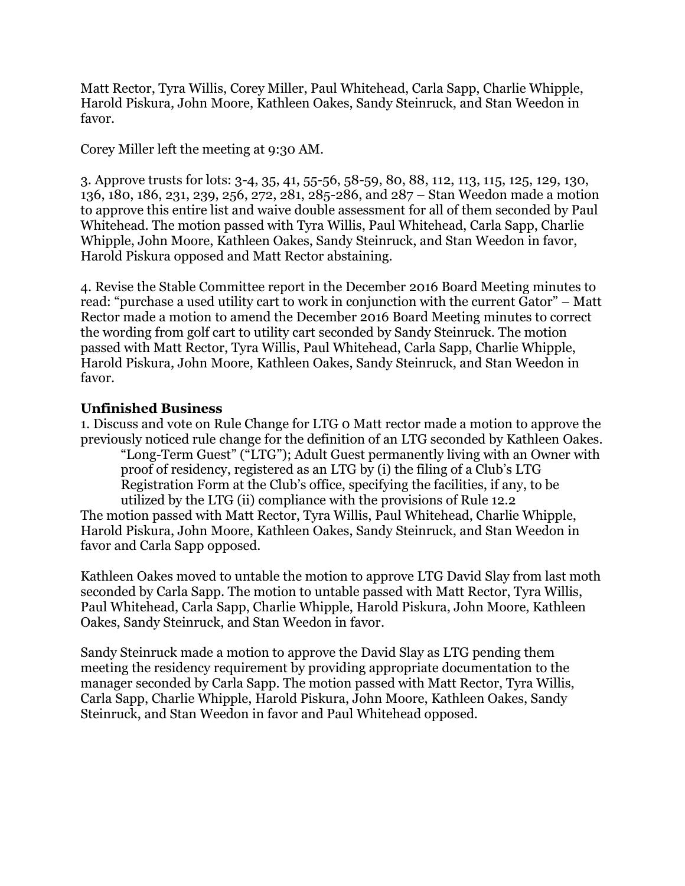Matt Rector, Tyra Willis, Corey Miller, Paul Whitehead, Carla Sapp, Charlie Whipple, Harold Piskura, John Moore, Kathleen Oakes, Sandy Steinruck, and Stan Weedon in favor.

Corey Miller left the meeting at 9:30 AM.

3. Approve trusts for lots: 3-4, 35, 41, 55-56, 58-59, 80, 88, 112, 113, 115, 125, 129, 130, 136, 180, 186, 231, 239, 256, 272, 281, 285-286, and 287 – Stan Weedon made a motion to approve this entire list and waive double assessment for all of them seconded by Paul Whitehead. The motion passed with Tyra Willis, Paul Whitehead, Carla Sapp, Charlie Whipple, John Moore, Kathleen Oakes, Sandy Steinruck, and Stan Weedon in favor, Harold Piskura opposed and Matt Rector abstaining.

4. Revise the Stable Committee report in the December 2016 Board Meeting minutes to read: "purchase a used utility cart to work in conjunction with the current Gator" – Matt Rector made a motion to amend the December 2016 Board Meeting minutes to correct the wording from golf cart to utility cart seconded by Sandy Steinruck. The motion passed with Matt Rector, Tyra Willis, Paul Whitehead, Carla Sapp, Charlie Whipple, Harold Piskura, John Moore, Kathleen Oakes, Sandy Steinruck, and Stan Weedon in favor.

#### **Unfinished Business**

1. Discuss and vote on Rule Change for LTG 0 Matt rector made a motion to approve the previously noticed rule change for the definition of an LTG seconded by Kathleen Oakes.

"Long-Term Guest" ("LTG"); Adult Guest permanently living with an Owner with proof of residency, registered as an LTG by (i) the filing of a Club's LTG Registration Form at the Club's office, specifying the facilities, if any, to be utilized by the LTG (ii) compliance with the provisions of Rule 12.2 The motion passed with Matt Rector, Tyra Willis, Paul Whitehead, Charlie Whipple, Harold Piskura, John Moore, Kathleen Oakes, Sandy Steinruck, and Stan Weedon in favor and Carla Sapp opposed.

Kathleen Oakes moved to untable the motion to approve LTG David Slay from last moth seconded by Carla Sapp. The motion to untable passed with Matt Rector, Tyra Willis, Paul Whitehead, Carla Sapp, Charlie Whipple, Harold Piskura, John Moore, Kathleen Oakes, Sandy Steinruck, and Stan Weedon in favor.

Sandy Steinruck made a motion to approve the David Slay as LTG pending them meeting the residency requirement by providing appropriate documentation to the manager seconded by Carla Sapp. The motion passed with Matt Rector, Tyra Willis, Carla Sapp, Charlie Whipple, Harold Piskura, John Moore, Kathleen Oakes, Sandy Steinruck, and Stan Weedon in favor and Paul Whitehead opposed.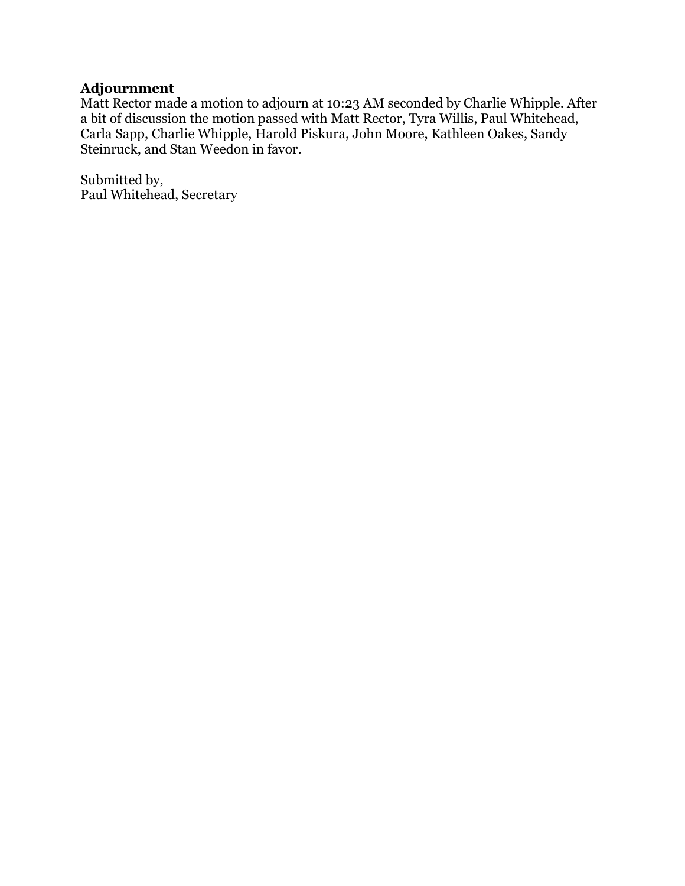## **Adjournment**

Matt Rector made a motion to adjourn at 10:23 AM seconded by Charlie Whipple. After a bit of discussion the motion passed with Matt Rector, Tyra Willis, Paul Whitehead, Carla Sapp, Charlie Whipple, Harold Piskura, John Moore, Kathleen Oakes, Sandy Steinruck, and Stan Weedon in favor.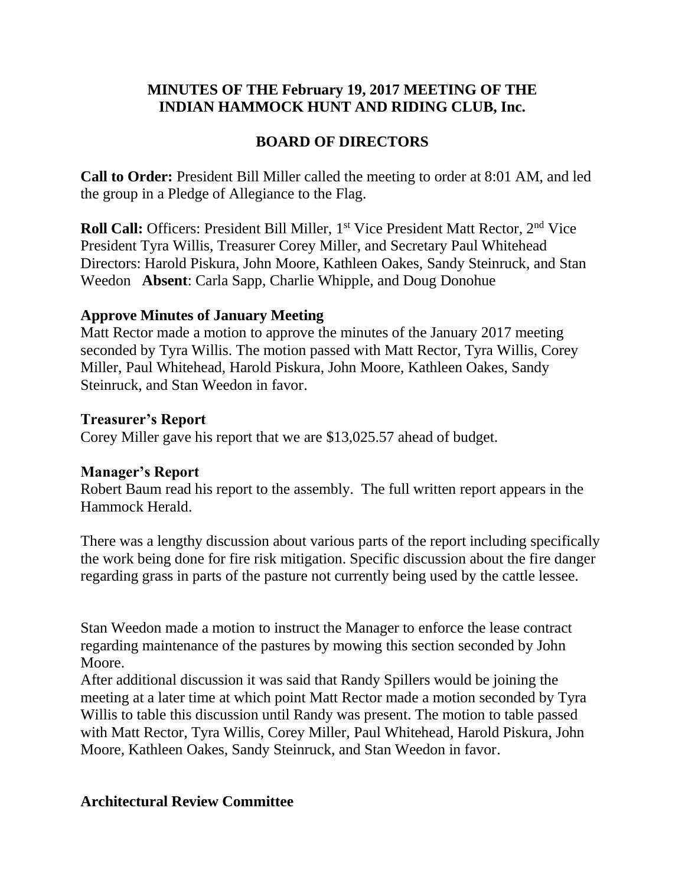## **MINUTES OF THE February 19, 2017 MEETING OF THE INDIAN HAMMOCK HUNT AND RIDING CLUB, Inc.**

# **BOARD OF DIRECTORS**

**Call to Order:** President Bill Miller called the meeting to order at 8:01 AM, and led the group in a Pledge of Allegiance to the Flag.

**Roll Call:** Officers: President Bill Miller, 1<sup>st</sup> Vice President Matt Rector, 2<sup>nd</sup> Vice President Tyra Willis, Treasurer Corey Miller, and Secretary Paul Whitehead Directors: Harold Piskura, John Moore, Kathleen Oakes, Sandy Steinruck, and Stan Weedon **Absent**: Carla Sapp, Charlie Whipple, and Doug Donohue

## **Approve Minutes of January Meeting**

Matt Rector made a motion to approve the minutes of the January 2017 meeting seconded by Tyra Willis. The motion passed with Matt Rector, Tyra Willis, Corey Miller, Paul Whitehead, Harold Piskura, John Moore, Kathleen Oakes, Sandy Steinruck, and Stan Weedon in favor.

## **Treasurer's Report**

Corey Miller gave his report that we are \$13,025.57 ahead of budget.

## **Manager's Report**

Robert Baum read his report to the assembly. The full written report appears in the Hammock Herald.

There was a lengthy discussion about various parts of the report including specifically the work being done for fire risk mitigation. Specific discussion about the fire danger regarding grass in parts of the pasture not currently being used by the cattle lessee.

Stan Weedon made a motion to instruct the Manager to enforce the lease contract regarding maintenance of the pastures by mowing this section seconded by John Moore.

After additional discussion it was said that Randy Spillers would be joining the meeting at a later time at which point Matt Rector made a motion seconded by Tyra Willis to table this discussion until Randy was present. The motion to table passed with Matt Rector, Tyra Willis, Corey Miller, Paul Whitehead, Harold Piskura, John Moore, Kathleen Oakes, Sandy Steinruck, and Stan Weedon in favor.

## **Architectural Review Committee**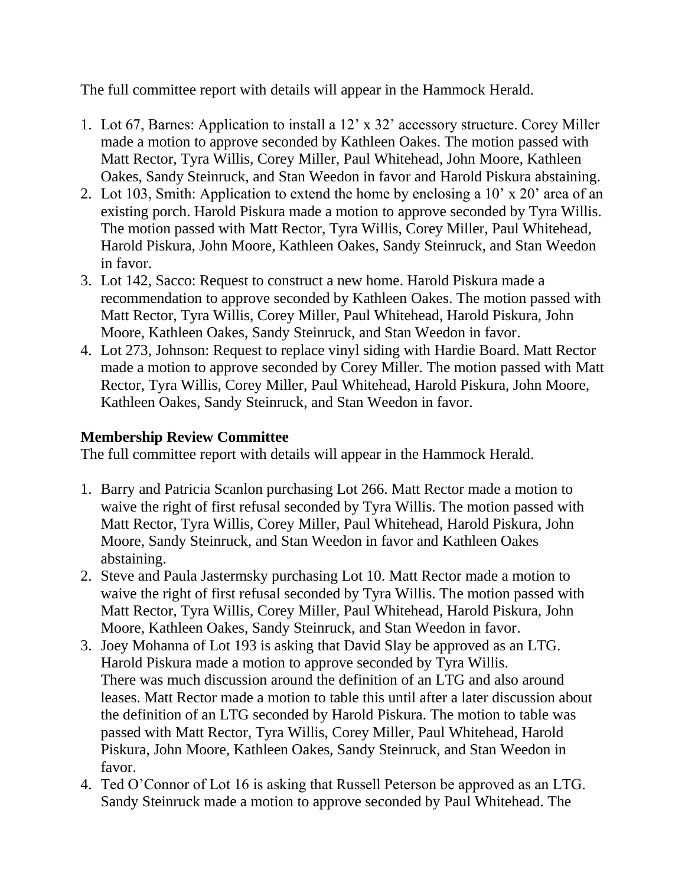The full committee report with details will appear in the Hammock Herald.

- 1. Lot 67, Barnes: Application to install a 12' x 32' accessory structure. Corey Miller made a motion to approve seconded by Kathleen Oakes. The motion passed with Matt Rector, Tyra Willis, Corey Miller, Paul Whitehead, John Moore, Kathleen Oakes, Sandy Steinruck, and Stan Weedon in favor and Harold Piskura abstaining.
- 2. Lot 103, Smith: Application to extend the home by enclosing a 10' x 20' area of an existing porch. Harold Piskura made a motion to approve seconded by Tyra Willis. The motion passed with Matt Rector, Tyra Willis, Corey Miller, Paul Whitehead, Harold Piskura, John Moore, Kathleen Oakes, Sandy Steinruck, and Stan Weedon in favor.
- 3. Lot 142, Sacco: Request to construct a new home. Harold Piskura made a recommendation to approve seconded by Kathleen Oakes. The motion passed with Matt Rector, Tyra Willis, Corey Miller, Paul Whitehead, Harold Piskura, John Moore, Kathleen Oakes, Sandy Steinruck, and Stan Weedon in favor.
- 4. Lot 273, Johnson: Request to replace vinyl siding with Hardie Board. Matt Rector made a motion to approve seconded by Corey Miller. The motion passed with Matt Rector, Tyra Willis, Corey Miller, Paul Whitehead, Harold Piskura, John Moore, Kathleen Oakes, Sandy Steinruck, and Stan Weedon in favor.

# **Membership Review Committee**

The full committee report with details will appear in the Hammock Herald.

- 1. Barry and Patricia Scanlon purchasing Lot 266. Matt Rector made a motion to waive the right of first refusal seconded by Tyra Willis. The motion passed with Matt Rector, Tyra Willis, Corey Miller, Paul Whitehead, Harold Piskura, John Moore, Sandy Steinruck, and Stan Weedon in favor and Kathleen Oakes abstaining.
- 2. Steve and Paula Jastermsky purchasing Lot 10. Matt Rector made a motion to waive the right of first refusal seconded by Tyra Willis. The motion passed with Matt Rector, Tyra Willis, Corey Miller, Paul Whitehead, Harold Piskura, John Moore, Kathleen Oakes, Sandy Steinruck, and Stan Weedon in favor.
- 3. Joey Mohanna of Lot 193 is asking that David Slay be approved as an LTG. Harold Piskura made a motion to approve seconded by Tyra Willis. There was much discussion around the definition of an LTG and also around leases. Matt Rector made a motion to table this until after a later discussion about the definition of an LTG seconded by Harold Piskura. The motion to table was passed with Matt Rector, Tyra Willis, Corey Miller, Paul Whitehead, Harold Piskura, John Moore, Kathleen Oakes, Sandy Steinruck, and Stan Weedon in favor.
- 4. Ted O'Connor of Lot 16 is asking that Russell Peterson be approved as an LTG. Sandy Steinruck made a motion to approve seconded by Paul Whitehead. The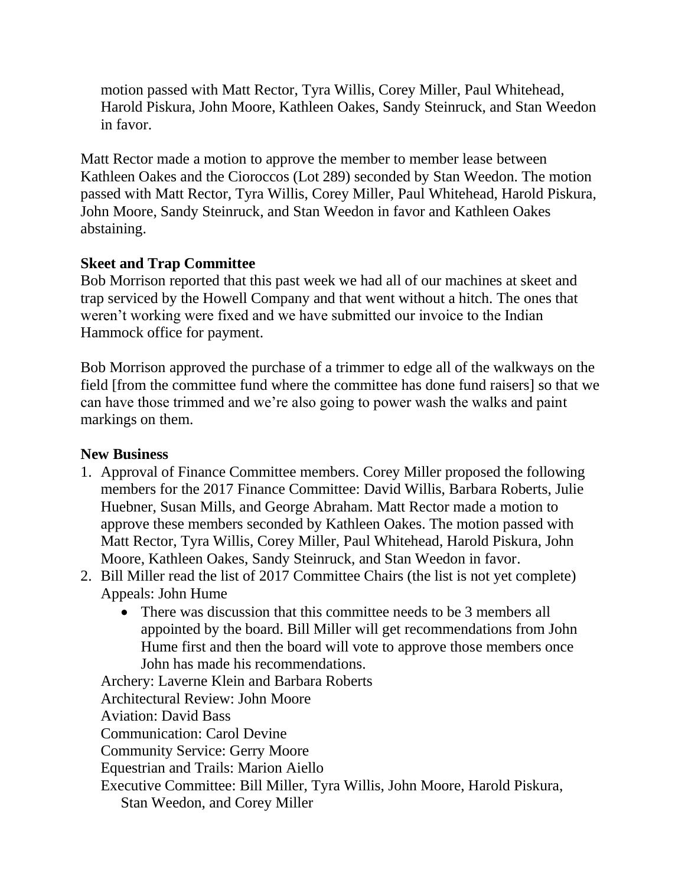motion passed with Matt Rector, Tyra Willis, Corey Miller, Paul Whitehead, Harold Piskura, John Moore, Kathleen Oakes, Sandy Steinruck, and Stan Weedon in favor.

Matt Rector made a motion to approve the member to member lease between Kathleen Oakes and the Cioroccos (Lot 289) seconded by Stan Weedon. The motion passed with Matt Rector, Tyra Willis, Corey Miller, Paul Whitehead, Harold Piskura, John Moore, Sandy Steinruck, and Stan Weedon in favor and Kathleen Oakes abstaining.

## **Skeet and Trap Committee**

Bob Morrison reported that this past week we had all of our machines at skeet and trap serviced by the Howell Company and that went without a hitch. The ones that weren't working were fixed and we have submitted our invoice to the Indian Hammock office for payment.

Bob Morrison approved the purchase of a trimmer to edge all of the walkways on the field [from the committee fund where the committee has done fund raisers] so that we can have those trimmed and we're also going to power wash the walks and paint markings on them.

## **New Business**

- 1. Approval of Finance Committee members. Corey Miller proposed the following members for the 2017 Finance Committee: David Willis, Barbara Roberts, Julie Huebner, Susan Mills, and George Abraham. Matt Rector made a motion to approve these members seconded by Kathleen Oakes. The motion passed with Matt Rector, Tyra Willis, Corey Miller, Paul Whitehead, Harold Piskura, John Moore, Kathleen Oakes, Sandy Steinruck, and Stan Weedon in favor.
- 2. Bill Miller read the list of 2017 Committee Chairs (the list is not yet complete) Appeals: John Hume
	- There was discussion that this committee needs to be 3 members all appointed by the board. Bill Miller will get recommendations from John Hume first and then the board will vote to approve those members once John has made his recommendations.

Archery: Laverne Klein and Barbara Roberts Architectural Review: John Moore Aviation: David Bass Communication: Carol Devine Community Service: Gerry Moore Equestrian and Trails: Marion Aiello Executive Committee: Bill Miller, Tyra Willis, John Moore, Harold Piskura, Stan Weedon, and Corey Miller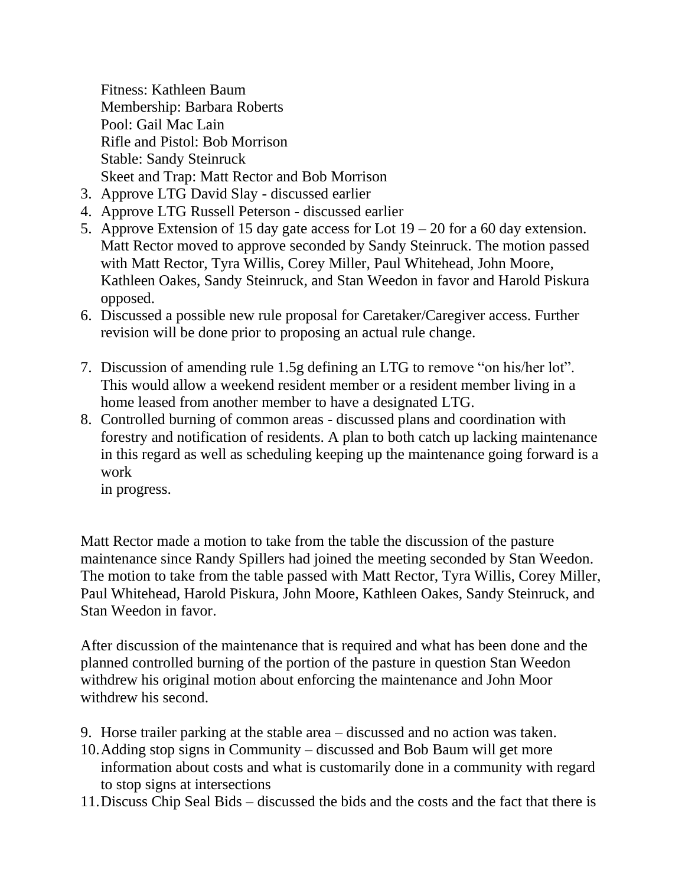Fitness: Kathleen Baum Membership: Barbara Roberts Pool: Gail Mac Lain Rifle and Pistol: Bob Morrison Stable: Sandy Steinruck Skeet and Trap: Matt Rector and Bob Morrison

- 3. Approve LTG David Slay discussed earlier
- 4. Approve LTG Russell Peterson discussed earlier
- 5. Approve Extension of 15 day gate access for Lot  $19 20$  for a 60 day extension. Matt Rector moved to approve seconded by Sandy Steinruck. The motion passed with Matt Rector, Tyra Willis, Corey Miller, Paul Whitehead, John Moore, Kathleen Oakes, Sandy Steinruck, and Stan Weedon in favor and Harold Piskura opposed.
- 6. Discussed a possible new rule proposal for Caretaker/Caregiver access. Further revision will be done prior to proposing an actual rule change.
- 7. Discussion of amending rule 1.5g defining an LTG to remove "on his/her lot". This would allow a weekend resident member or a resident member living in a home leased from another member to have a designated LTG.
- 8. Controlled burning of common areas discussed plans and coordination with forestry and notification of residents. A plan to both catch up lacking maintenance in this regard as well as scheduling keeping up the maintenance going forward is a work

in progress.

Matt Rector made a motion to take from the table the discussion of the pasture maintenance since Randy Spillers had joined the meeting seconded by Stan Weedon. The motion to take from the table passed with Matt Rector, Tyra Willis, Corey Miller, Paul Whitehead, Harold Piskura, John Moore, Kathleen Oakes, Sandy Steinruck, and Stan Weedon in favor.

After discussion of the maintenance that is required and what has been done and the planned controlled burning of the portion of the pasture in question Stan Weedon withdrew his original motion about enforcing the maintenance and John Moor withdrew his second.

- 9. Horse trailer parking at the stable area discussed and no action was taken.
- 10.Adding stop signs in Community discussed and Bob Baum will get more information about costs and what is customarily done in a community with regard to stop signs at intersections
- 11.Discuss Chip Seal Bids discussed the bids and the costs and the fact that there is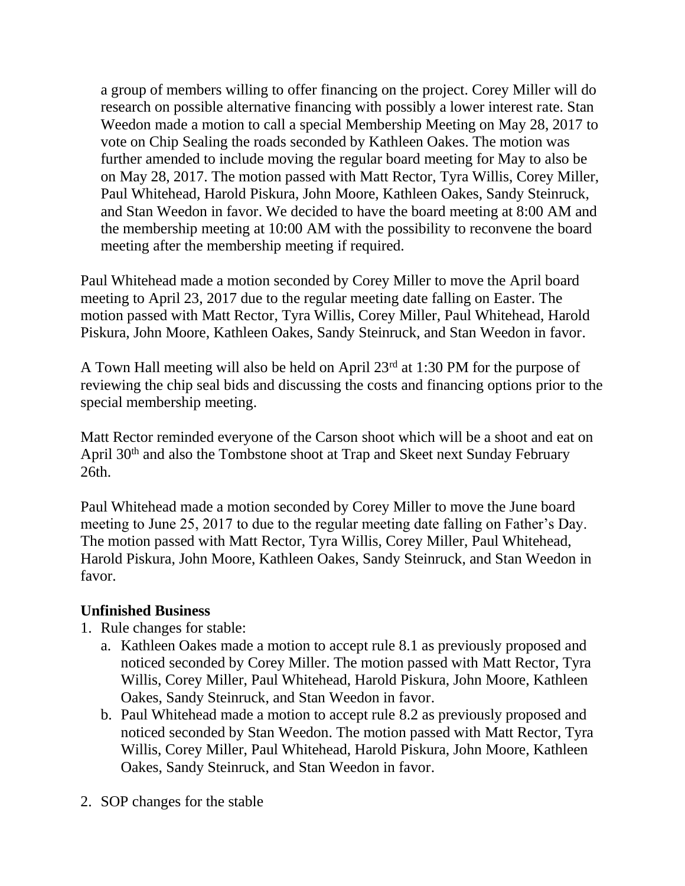a group of members willing to offer financing on the project. Corey Miller will do research on possible alternative financing with possibly a lower interest rate. Stan Weedon made a motion to call a special Membership Meeting on May 28, 2017 to vote on Chip Sealing the roads seconded by Kathleen Oakes. The motion was further amended to include moving the regular board meeting for May to also be on May 28, 2017. The motion passed with Matt Rector, Tyra Willis, Corey Miller, Paul Whitehead, Harold Piskura, John Moore, Kathleen Oakes, Sandy Steinruck, and Stan Weedon in favor. We decided to have the board meeting at 8:00 AM and the membership meeting at 10:00 AM with the possibility to reconvene the board meeting after the membership meeting if required.

Paul Whitehead made a motion seconded by Corey Miller to move the April board meeting to April 23, 2017 due to the regular meeting date falling on Easter. The motion passed with Matt Rector, Tyra Willis, Corey Miller, Paul Whitehead, Harold Piskura, John Moore, Kathleen Oakes, Sandy Steinruck, and Stan Weedon in favor.

A Town Hall meeting will also be held on April 23rd at 1:30 PM for the purpose of reviewing the chip seal bids and discussing the costs and financing options prior to the special membership meeting.

Matt Rector reminded everyone of the Carson shoot which will be a shoot and eat on April 30<sup>th</sup> and also the Tombstone shoot at Trap and Skeet next Sunday February 26th.

Paul Whitehead made a motion seconded by Corey Miller to move the June board meeting to June 25, 2017 to due to the regular meeting date falling on Father's Day. The motion passed with Matt Rector, Tyra Willis, Corey Miller, Paul Whitehead, Harold Piskura, John Moore, Kathleen Oakes, Sandy Steinruck, and Stan Weedon in favor.

## **Unfinished Business**

- 1. Rule changes for stable:
	- a. Kathleen Oakes made a motion to accept rule 8.1 as previously proposed and noticed seconded by Corey Miller. The motion passed with Matt Rector, Tyra Willis, Corey Miller, Paul Whitehead, Harold Piskura, John Moore, Kathleen Oakes, Sandy Steinruck, and Stan Weedon in favor.
	- b. Paul Whitehead made a motion to accept rule 8.2 as previously proposed and noticed seconded by Stan Weedon. The motion passed with Matt Rector, Tyra Willis, Corey Miller, Paul Whitehead, Harold Piskura, John Moore, Kathleen Oakes, Sandy Steinruck, and Stan Weedon in favor.
- 2. SOP changes for the stable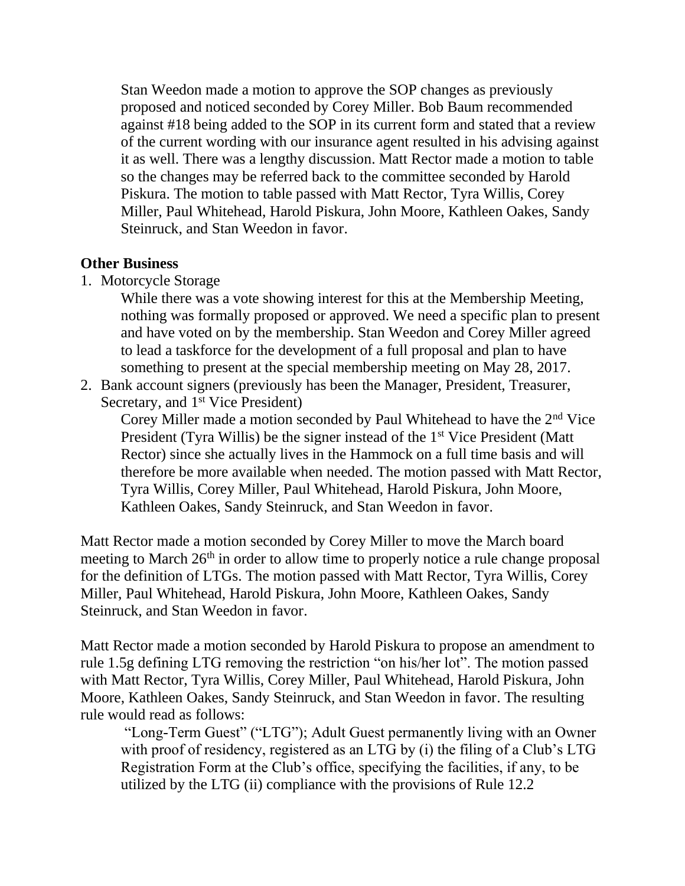Stan Weedon made a motion to approve the SOP changes as previously proposed and noticed seconded by Corey Miller. Bob Baum recommended against #18 being added to the SOP in its current form and stated that a review of the current wording with our insurance agent resulted in his advising against it as well. There was a lengthy discussion. Matt Rector made a motion to table so the changes may be referred back to the committee seconded by Harold Piskura. The motion to table passed with Matt Rector, Tyra Willis, Corey Miller, Paul Whitehead, Harold Piskura, John Moore, Kathleen Oakes, Sandy Steinruck, and Stan Weedon in favor.

### **Other Business**

1. Motorcycle Storage

While there was a vote showing interest for this at the Membership Meeting, nothing was formally proposed or approved. We need a specific plan to present and have voted on by the membership. Stan Weedon and Corey Miller agreed to lead a taskforce for the development of a full proposal and plan to have something to present at the special membership meeting on May 28, 2017.

2. Bank account signers (previously has been the Manager, President, Treasurer, Secretary, and 1<sup>st</sup> Vice President)

Corey Miller made a motion seconded by Paul Whitehead to have the 2<sup>nd</sup> Vice President (Tyra Willis) be the signer instead of the 1<sup>st</sup> Vice President (Matt Rector) since she actually lives in the Hammock on a full time basis and will therefore be more available when needed. The motion passed with Matt Rector, Tyra Willis, Corey Miller, Paul Whitehead, Harold Piskura, John Moore, Kathleen Oakes, Sandy Steinruck, and Stan Weedon in favor.

Matt Rector made a motion seconded by Corey Miller to move the March board meeting to March 26<sup>th</sup> in order to allow time to properly notice a rule change proposal for the definition of LTGs. The motion passed with Matt Rector, Tyra Willis, Corey Miller, Paul Whitehead, Harold Piskura, John Moore, Kathleen Oakes, Sandy Steinruck, and Stan Weedon in favor.

Matt Rector made a motion seconded by Harold Piskura to propose an amendment to rule 1.5g defining LTG removing the restriction "on his/her lot". The motion passed with Matt Rector, Tyra Willis, Corey Miller, Paul Whitehead, Harold Piskura, John Moore, Kathleen Oakes, Sandy Steinruck, and Stan Weedon in favor. The resulting rule would read as follows:

"Long-Term Guest" ("LTG"); Adult Guest permanently living with an Owner with proof of residency, registered as an LTG by (i) the filing of a Club's LTG Registration Form at the Club's office, specifying the facilities, if any, to be utilized by the LTG (ii) compliance with the provisions of Rule 12.2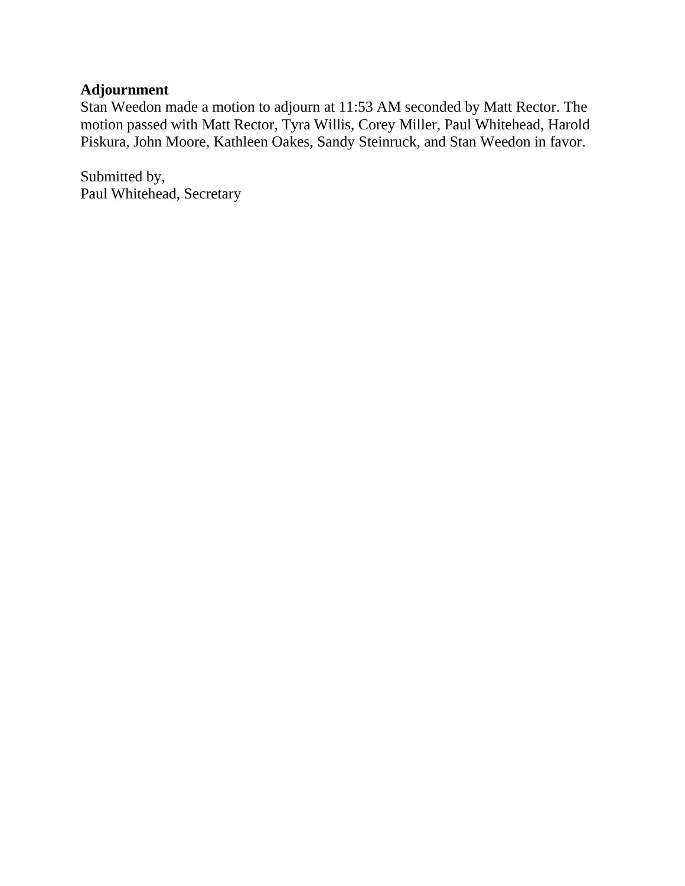## **Adjournment**

Stan Weedon made a motion to adjourn at 11:53 AM seconded by Matt Rector. The motion passed with Matt Rector, Tyra Willis, Corey Miller, Paul Whitehead, Harold Piskura, John Moore, Kathleen Oakes, Sandy Steinruck, and Stan Weedon in favor.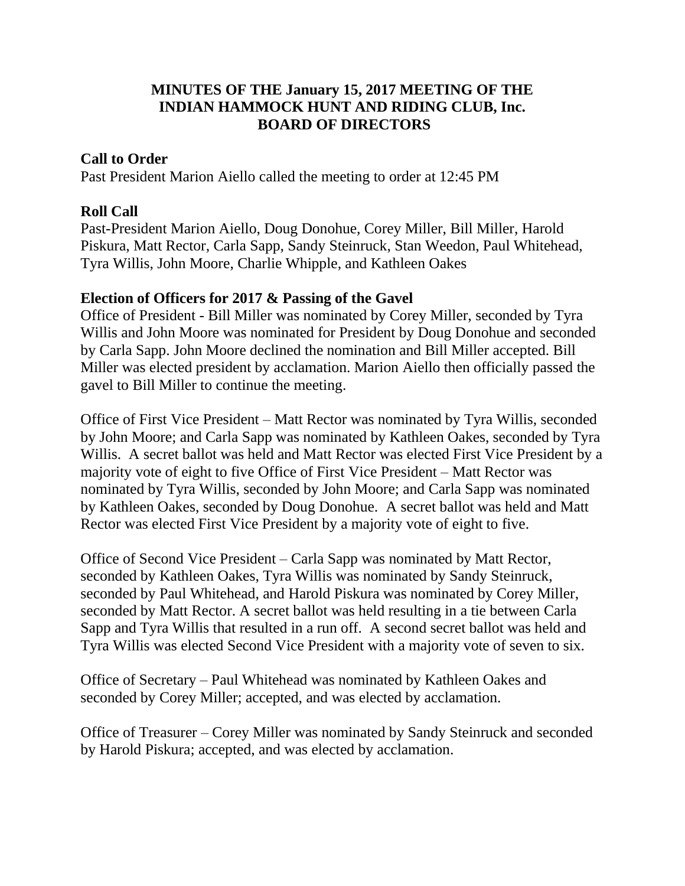## **MINUTES OF THE January 15, 2017 MEETING OF THE INDIAN HAMMOCK HUNT AND RIDING CLUB, Inc. BOARD OF DIRECTORS**

## **Call to Order**

Past President Marion Aiello called the meeting to order at 12:45 PM

## **Roll Call**

Past-President Marion Aiello, Doug Donohue, Corey Miller, Bill Miller, Harold Piskura, Matt Rector, Carla Sapp, Sandy Steinruck, Stan Weedon, Paul Whitehead, Tyra Willis, John Moore, Charlie Whipple, and Kathleen Oakes

## **Election of Officers for 2017 & Passing of the Gavel**

Office of President - Bill Miller was nominated by Corey Miller, seconded by Tyra Willis and John Moore was nominated for President by Doug Donohue and seconded by Carla Sapp. John Moore declined the nomination and Bill Miller accepted. Bill Miller was elected president by acclamation. Marion Aiello then officially passed the gavel to Bill Miller to continue the meeting.

Office of First Vice President – Matt Rector was nominated by Tyra Willis, seconded by John Moore; and Carla Sapp was nominated by Kathleen Oakes, seconded by Tyra Willis. A secret ballot was held and Matt Rector was elected First Vice President by a majority vote of eight to five Office of First Vice President – Matt Rector was nominated by Tyra Willis, seconded by John Moore; and Carla Sapp was nominated by Kathleen Oakes, seconded by Doug Donohue. A secret ballot was held and Matt Rector was elected First Vice President by a majority vote of eight to five.

Office of Second Vice President – Carla Sapp was nominated by Matt Rector, seconded by Kathleen Oakes, Tyra Willis was nominated by Sandy Steinruck, seconded by Paul Whitehead, and Harold Piskura was nominated by Corey Miller, seconded by Matt Rector. A secret ballot was held resulting in a tie between Carla Sapp and Tyra Willis that resulted in a run off. A second secret ballot was held and Tyra Willis was elected Second Vice President with a majority vote of seven to six.

Office of Secretary – Paul Whitehead was nominated by Kathleen Oakes and seconded by Corey Miller; accepted, and was elected by acclamation.

Office of Treasurer – Corey Miller was nominated by Sandy Steinruck and seconded by Harold Piskura; accepted, and was elected by acclamation.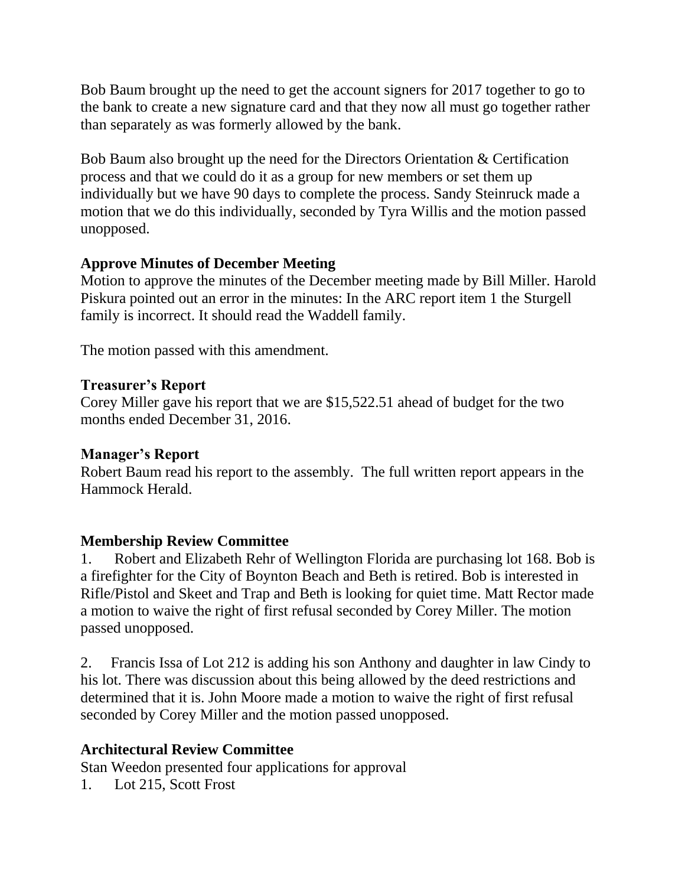Bob Baum brought up the need to get the account signers for 2017 together to go to the bank to create a new signature card and that they now all must go together rather than separately as was formerly allowed by the bank.

Bob Baum also brought up the need for the Directors Orientation & Certification process and that we could do it as a group for new members or set them up individually but we have 90 days to complete the process. Sandy Steinruck made a motion that we do this individually, seconded by Tyra Willis and the motion passed unopposed.

## **Approve Minutes of December Meeting**

Motion to approve the minutes of the December meeting made by Bill Miller. Harold Piskura pointed out an error in the minutes: In the ARC report item 1 the Sturgell family is incorrect. It should read the Waddell family.

The motion passed with this amendment.

## **Treasurer's Report**

Corey Miller gave his report that we are \$15,522.51 ahead of budget for the two months ended December 31, 2016.

## **Manager's Report**

Robert Baum read his report to the assembly. The full written report appears in the Hammock Herald.

## **Membership Review Committee**

1. Robert and Elizabeth Rehr of Wellington Florida are purchasing lot 168. Bob is a firefighter for the City of Boynton Beach and Beth is retired. Bob is interested in Rifle/Pistol and Skeet and Trap and Beth is looking for quiet time. Matt Rector made a motion to waive the right of first refusal seconded by Corey Miller. The motion passed unopposed.

2. Francis Issa of Lot 212 is adding his son Anthony and daughter in law Cindy to his lot. There was discussion about this being allowed by the deed restrictions and determined that it is. John Moore made a motion to waive the right of first refusal seconded by Corey Miller and the motion passed unopposed.

## **Architectural Review Committee**

Stan Weedon presented four applications for approval

1. Lot 215, Scott Frost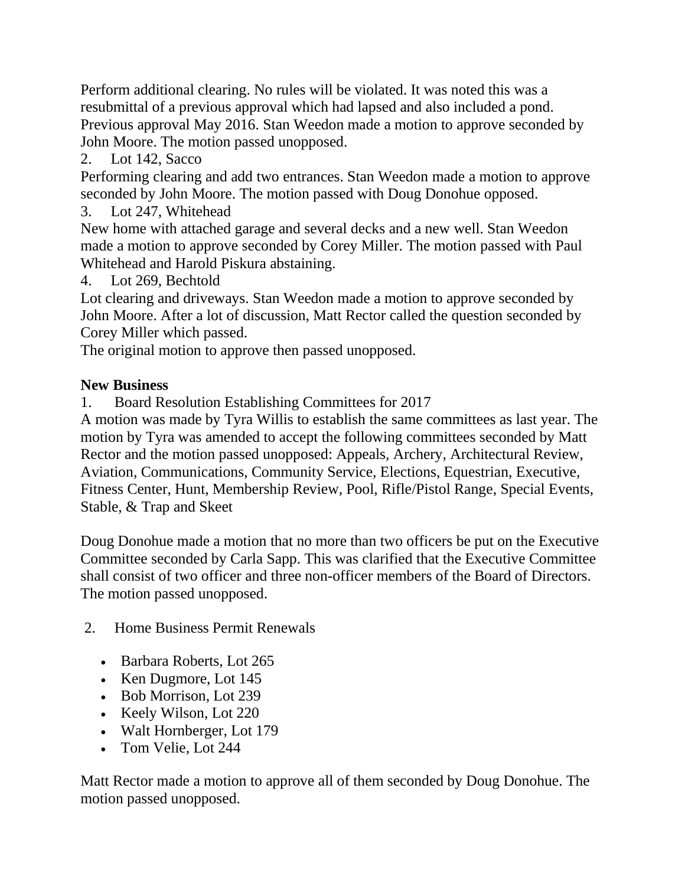Perform additional clearing. No rules will be violated. It was noted this was a resubmittal of a previous approval which had lapsed and also included a pond. Previous approval May 2016. Stan Weedon made a motion to approve seconded by John Moore. The motion passed unopposed.

2. Lot 142, Sacco

Performing clearing and add two entrances. Stan Weedon made a motion to approve seconded by John Moore. The motion passed with Doug Donohue opposed.

3. Lot 247, Whitehead

New home with attached garage and several decks and a new well. Stan Weedon made a motion to approve seconded by Corey Miller. The motion passed with Paul Whitehead and Harold Piskura abstaining.

4. Lot 269, Bechtold

Lot clearing and driveways. Stan Weedon made a motion to approve seconded by John Moore. After a lot of discussion, Matt Rector called the question seconded by Corey Miller which passed.

The original motion to approve then passed unopposed.

# **New Business**

1. Board Resolution Establishing Committees for 2017

A motion was made by Tyra Willis to establish the same committees as last year. The motion by Tyra was amended to accept the following committees seconded by Matt Rector and the motion passed unopposed: Appeals, Archery, Architectural Review, Aviation, Communications, Community Service, Elections, Equestrian, Executive, Fitness Center, Hunt, Membership Review, Pool, Rifle/Pistol Range, Special Events, Stable, & Trap and Skeet

Doug Donohue made a motion that no more than two officers be put on the Executive Committee seconded by Carla Sapp. This was clarified that the Executive Committee shall consist of two officer and three non-officer members of the Board of Directors. The motion passed unopposed.

- 2. Home Business Permit Renewals
	- Barbara Roberts, Lot 265
	- Ken Dugmore, Lot 145
	- Bob Morrison, Lot 239
	- Keely Wilson, Lot 220
	- Walt Hornberger, Lot 179
	- Tom Velie, Lot 244

Matt Rector made a motion to approve all of them seconded by Doug Donohue. The motion passed unopposed.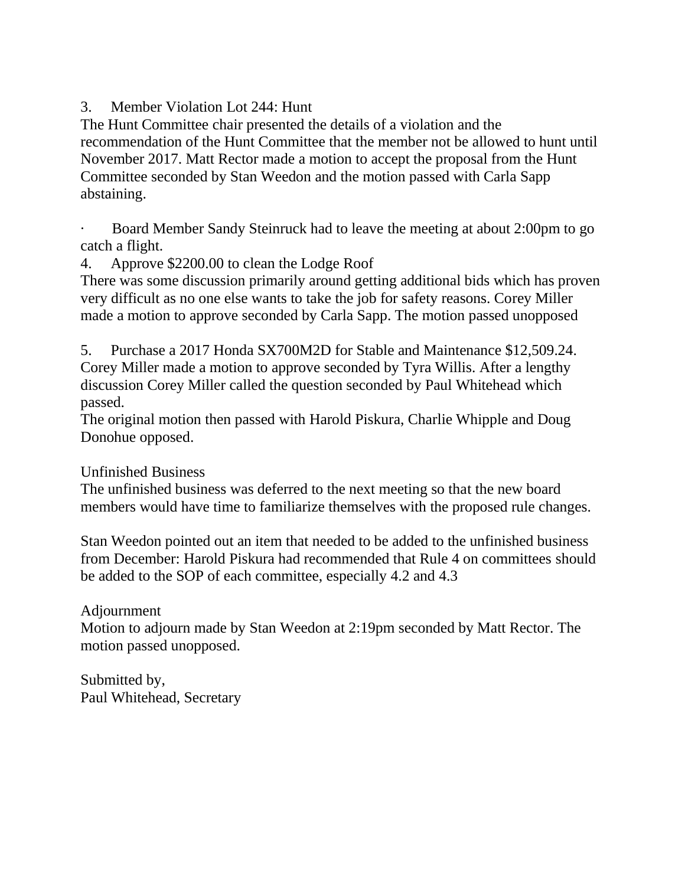3. Member Violation Lot 244: Hunt

The Hunt Committee chair presented the details of a violation and the recommendation of the Hunt Committee that the member not be allowed to hunt until November 2017. Matt Rector made a motion to accept the proposal from the Hunt Committee seconded by Stan Weedon and the motion passed with Carla Sapp abstaining.

· Board Member Sandy Steinruck had to leave the meeting at about 2:00pm to go catch a flight.

4. Approve \$2200.00 to clean the Lodge Roof

There was some discussion primarily around getting additional bids which has proven very difficult as no one else wants to take the job for safety reasons. Corey Miller made a motion to approve seconded by Carla Sapp. The motion passed unopposed

5. Purchase a 2017 Honda SX700M2D for Stable and Maintenance \$12,509.24. Corey Miller made a motion to approve seconded by Tyra Willis. After a lengthy discussion Corey Miller called the question seconded by Paul Whitehead which passed.

The original motion then passed with Harold Piskura, Charlie Whipple and Doug Donohue opposed.

Unfinished Business

The unfinished business was deferred to the next meeting so that the new board members would have time to familiarize themselves with the proposed rule changes.

Stan Weedon pointed out an item that needed to be added to the unfinished business from December: Harold Piskura had recommended that Rule 4 on committees should be added to the SOP of each committee, especially 4.2 and 4.3

Adjournment

Motion to adjourn made by Stan Weedon at 2:19pm seconded by Matt Rector. The motion passed unopposed.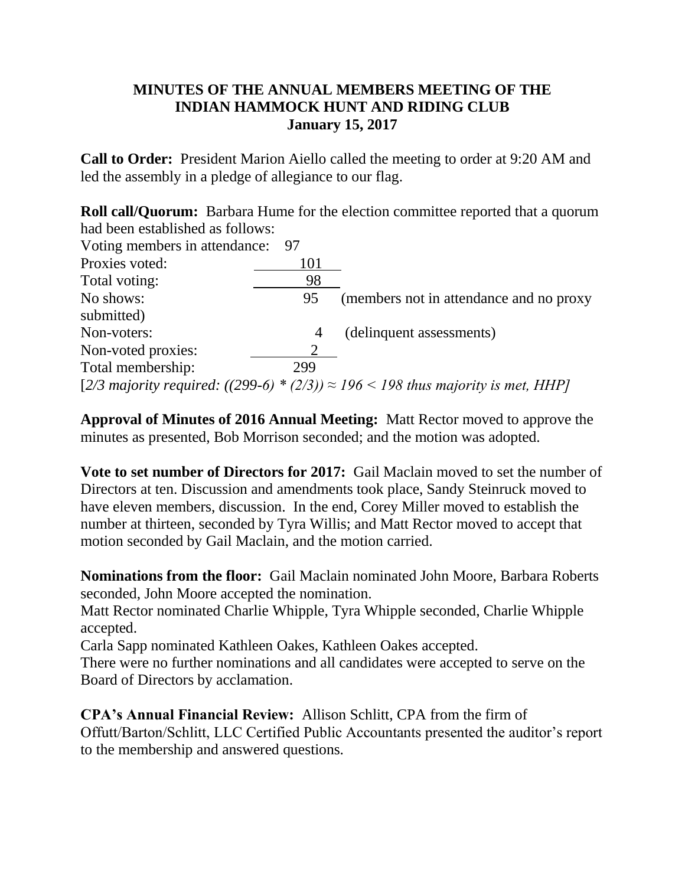## **MINUTES OF THE ANNUAL MEMBERS MEETING OF THE INDIAN HAMMOCK HUNT AND RIDING CLUB January 15, 2017**

**Call to Order:** President Marion Aiello called the meeting to order at 9:20 AM and led the assembly in a pledge of allegiance to our flag.

**Roll call/Quorum:** Barbara Hume for the election committee reported that a quorum had been established as follows:

| Voting members in attendance: | - 97 |                                                                                          |
|-------------------------------|------|------------------------------------------------------------------------------------------|
| Proxies voted:                | 101  |                                                                                          |
| Total voting:                 | 98   |                                                                                          |
| No shows:                     | 95   | (members not in attendance and no proxy                                                  |
| submitted)                    |      |                                                                                          |
| Non-voters:                   | 4    | (delinquent assessments)                                                                 |
| Non-voted proxies:            |      |                                                                                          |
| Total membership:             | 299  |                                                                                          |
|                               |      | [2/3 majority required: ((299-6) * (2/3)) $\approx$ 196 < 198 thus majority is met, HHP] |

**Approval of Minutes of 2016 Annual Meeting:** Matt Rector moved to approve the minutes as presented, Bob Morrison seconded; and the motion was adopted.

**Vote to set number of Directors for 2017:** Gail Maclain moved to set the number of Directors at ten. Discussion and amendments took place, Sandy Steinruck moved to have eleven members, discussion. In the end, Corey Miller moved to establish the number at thirteen, seconded by Tyra Willis; and Matt Rector moved to accept that motion seconded by Gail Maclain, and the motion carried.

**Nominations from the floor:** Gail Maclain nominated John Moore, Barbara Roberts seconded, John Moore accepted the nomination.

Matt Rector nominated Charlie Whipple, Tyra Whipple seconded, Charlie Whipple accepted.

Carla Sapp nominated Kathleen Oakes, Kathleen Oakes accepted.

There were no further nominations and all candidates were accepted to serve on the Board of Directors by acclamation.

**CPA's Annual Financial Review:** Allison Schlitt, CPA from the firm of Offutt/Barton/Schlitt, LLC Certified Public Accountants presented the auditor's report to the membership and answered questions.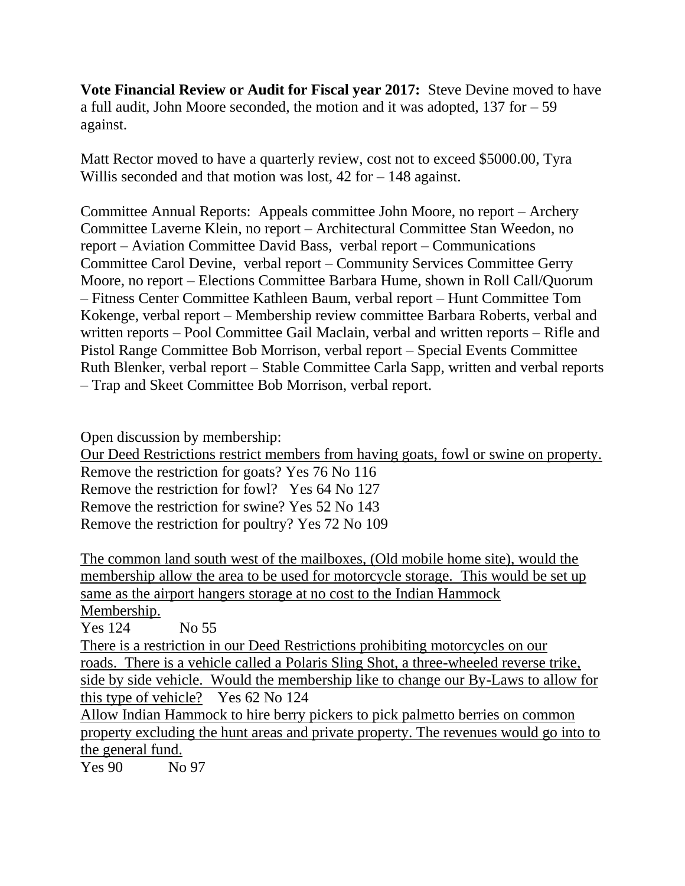**Vote Financial Review or Audit for Fiscal year 2017:** Steve Devine moved to have a full audit, John Moore seconded, the motion and it was adopted, 137 for – 59 against.

Matt Rector moved to have a quarterly review, cost not to exceed \$5000.00, Tyra Willis seconded and that motion was lost, 42 for – 148 against.

Committee Annual Reports: Appeals committee John Moore, no report – Archery Committee Laverne Klein, no report – Architectural Committee Stan Weedon, no report – Aviation Committee David Bass, verbal report – Communications Committee Carol Devine, verbal report – Community Services Committee Gerry Moore, no report – Elections Committee Barbara Hume, shown in Roll Call/Quorum – Fitness Center Committee Kathleen Baum, verbal report – Hunt Committee Tom Kokenge, verbal report – Membership review committee Barbara Roberts, verbal and written reports – Pool Committee Gail Maclain, verbal and written reports – Rifle and Pistol Range Committee Bob Morrison, verbal report – Special Events Committee Ruth Blenker, verbal report – Stable Committee Carla Sapp, written and verbal reports – Trap and Skeet Committee Bob Morrison, verbal report.

Open discussion by membership:

Our Deed Restrictions restrict members from having goats, fowl or swine on property. Remove the restriction for goats? Yes 76 No 116 Remove the restriction for fowl? Yes 64 No 127 Remove the restriction for swine? Yes 52 No 143 Remove the restriction for poultry? Yes 72 No 109

The common land south west of the mailboxes, (Old mobile home site), would the membership allow the area to be used for motorcycle storage. This would be set up same as the airport hangers storage at no cost to the Indian Hammock Membership.

Yes 124 No 55 There is a restriction in our Deed Restrictions prohibiting motorcycles on our roads. There is a vehicle called a Polaris Sling Shot, a three-wheeled reverse trike, side by side vehicle. Would the membership like to change our By-Laws to allow for this type of vehicle? Yes 62 No 124 Allow Indian Hammock to hire berry pickers to pick palmetto berries on common property excluding the hunt areas and private property. The revenues would go into to the general fund.

Yes 90 No 97